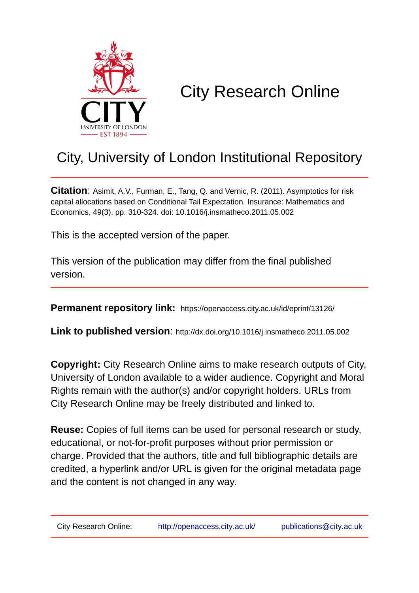

# City Research Online

## City, University of London Institutional Repository

**Citation**: Asimit, A.V., Furman, E., Tang, Q. and Vernic, R. (2011). Asymptotics for risk capital allocations based on Conditional Tail Expectation. Insurance: Mathematics and Economics, 49(3), pp. 310-324. doi: 10.1016/j.insmatheco.2011.05.002

This is the accepted version of the paper.

This version of the publication may differ from the final published version.

**Permanent repository link:** https://openaccess.city.ac.uk/id/eprint/13126/

**Link to published version**: http://dx.doi.org/10.1016/j.insmatheco.2011.05.002

**Copyright:** City Research Online aims to make research outputs of City, University of London available to a wider audience. Copyright and Moral Rights remain with the author(s) and/or copyright holders. URLs from City Research Online may be freely distributed and linked to.

**Reuse:** Copies of full items can be used for personal research or study, educational, or not-for-profit purposes without prior permission or charge. Provided that the authors, title and full bibliographic details are credited, a hyperlink and/or URL is given for the original metadata page and the content is not changed in any way.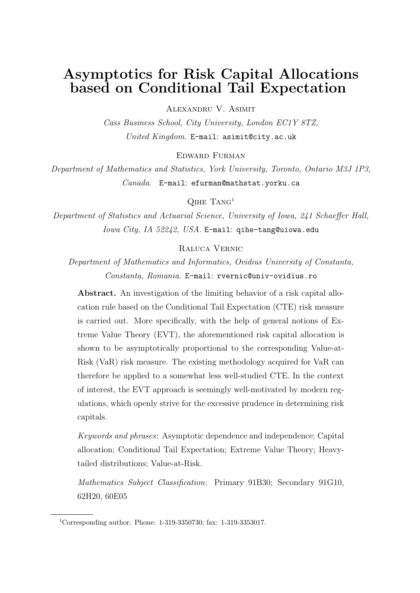### **Asymptotics for Risk Capital Allocations based on Conditional Tail Expectation**

Alexandru V. Asimit

*Cass Business School, City University, London EC1Y 8TZ, United Kingdom.* E-mail: asimit@city.ac.uk

Edward Furman

*Department of Mathematics and Statistics, York University, Toronto, Ontario M3J 1P3, Canada.* E-mail: efurman@mathstat.yorku.ca

 $Q<sub>IHE</sub>$  Tang<sup>1</sup>

*Department of Statistics and Actuarial Science, University of Iowa, 241 Schaeffer Hall, Iowa City, IA 52242, USA.* E-mail: qihe-tang@uiowa.edu

Raluca Vernic

*Department of Mathematics and Informatics, Ovidius University of Constanta, Constanta, Romania.* E-mail: rvernic@univ-ovidius.ro

**Abstract.** An investigation of the limiting behavior of a risk capital allocation rule based on the Conditional Tail Expectation (CTE) risk measure is carried out. More specifically, with the help of general notions of Extreme Value Theory (EVT), the aforementioned risk capital allocation is shown to be asymptotically proportional to the corresponding Value-at-Risk (VaR) risk measure. The existing methodology acquired for VaR can therefore be applied to a somewhat less well-studied CTE. In the context of interest, the EVT approach is seemingly well-motivated by modern regulations, which openly strive for the excessive prudence in determining risk capitals.

*Keywords and phrases*: Asymptotic dependence and independence; Capital allocation; Conditional Tail Expectation; Extreme Value Theory; Heavytailed distributions; Value-at-Risk.

*Mathematics Subject Classification*: Primary 91B30; Secondary 91G10, 62H20, 60E05

<sup>1</sup>Corresponding author. Phone: 1-319-3350730; fax: 1-319-3353017.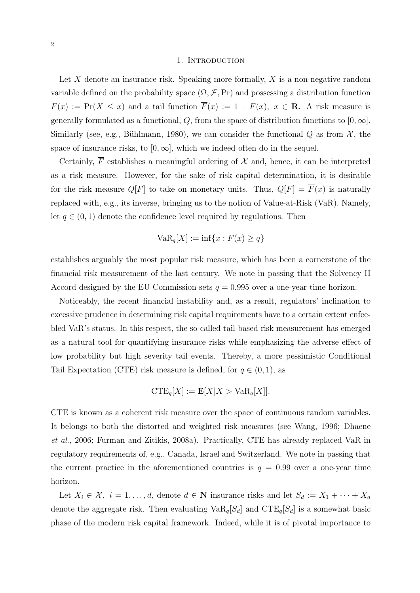#### 1. Introduction

Let *X* denote an insurance risk. Speaking more formally, *X* is a non-negative random variable defined on the probability space  $(\Omega, \mathcal{F}, Pr)$  and possessing a distribution function *F*(*x*) := Pr(*X*  $\leq$  *x*) and a tail function  $\overline{F}(x) := 1 - F(x)$ ,  $x \in \mathbb{R}$ . A risk measure is generally formulated as a functional,  $Q$ , from the space of distribution functions to  $[0, \infty]$ . Similarly (see, e.g., Bühlmann, 1980), we can consider the functional  $Q$  as from  $\mathcal{X}$ , the space of insurance risks, to  $[0, \infty]$ , which we indeed often do in the sequel.

Certainly,  $\overline{F}$  establishes a meaningful ordering of  $\mathcal X$  and, hence, it can be interpreted as a risk measure. However, for the sake of risk capital determination, it is desirable for the risk measure  $Q[F]$  to take on monetary units. Thus,  $Q[F] = \overline{F}(x)$  is naturally replaced with, e.g., its inverse, bringing us to the notion of Value-at-Risk (VaR). Namely, let  $q \in (0,1)$  denote the confidence level required by regulations. Then

$$
VaR_q[X] := \inf\{x : F(x) \ge q\}
$$

establishes arguably the most popular risk measure, which has been a cornerstone of the financial risk measurement of the last century. We note in passing that the Solvency II Accord designed by the EU Commission sets  $q = 0.995$  over a one-year time horizon.

Noticeably, the recent financial instability and, as a result, regulators' inclination to excessive prudence in determining risk capital requirements have to a certain extent enfeebled VaR's status. In this respect, the so-called tail-based risk measurement has emerged as a natural tool for quantifying insurance risks while emphasizing the adverse effect of low probability but high severity tail events. Thereby, a more pessimistic Conditional Tail Expectation (CTE) risk measure is defined, for  $q \in (0,1)$ , as

$$
CTE_q[X] := \mathbf{E}[X|X > \text{VaR}_q[X]].
$$

CTE is known as a coherent risk measure over the space of continuous random variables. It belongs to both the distorted and weighted risk measures (see Wang, 1996; Dhaene *et al.*, 2006; Furman and Zitikis, 2008a). Practically, CTE has already replaced VaR in regulatory requirements of, e.g., Canada, Israel and Switzerland. We note in passing that the current practice in the aforementioned countries is  $q = 0.99$  over a one-year time horizon.

Let  $X_i \in \mathcal{X}, i = 1, \ldots, d$ , denote  $d \in \mathbb{N}$  insurance risks and let  $S_d := X_1 + \cdots + X_d$ denote the aggregate risk. Then evaluating  $VaR_q[S_d]$  and  $CTE_q[S_d]$  is a somewhat basic phase of the modern risk capital framework. Indeed, while it is of pivotal importance to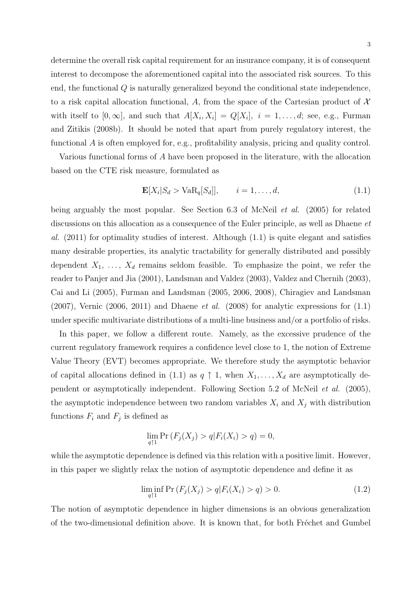determine the overall risk capital requirement for an insurance company, it is of consequent interest to decompose the aforementioned capital into the associated risk sources. To this end, the functional *Q* is naturally generalized beyond the conditional state independence, to a risk capital allocation functional, *A*, from the space of the Cartesian product of *X* with itself to  $[0, \infty]$ , and such that  $A[X_i, X_i] = Q[X_i], i = 1, \ldots, d$ ; see, e.g., Furman and Zitikis (2008b). It should be noted that apart from purely regulatory interest, the functional *A* is often employed for, e.g., profitability analysis, pricing and quality control.

Various functional forms of *A* have been proposed in the literature, with the allocation based on the CTE risk measure, formulated as

$$
\mathbf{E}[X_i|S_d > \text{VaR}_q[S_d]], \qquad i = 1, \dots, d,
$$
\n(1.1)

being arguably the most popular. See Section 6.3 of McNeil *et al.* (2005) for related discussions on this allocation as a consequence of the Euler principle, as well as Dhaene *et al.* (2011) for optimality studies of interest. Although (1.1) is quite elegant and satisfies many desirable properties, its analytic tractability for generally distributed and possibly dependent  $X_1, \ldots, X_d$  remains seldom feasible. To emphasize the point, we refer the reader to Panjer and Jia (2001), Landsman and Valdez (2003), Valdez and Chernih (2003), Cai and Li (2005), Furman and Landsman (2005, 2006, 2008), Chiragiev and Landsman (2007), Vernic (2006, 2011) and Dhaene *et al.* (2008) for analytic expressions for (1.1) under specific multivariate distributions of a multi-line business and/or a portfolio of risks.

In this paper, we follow a different route. Namely, as the excessive prudence of the current regulatory framework requires a confidence level close to 1, the notion of Extreme Value Theory (EVT) becomes appropriate. We therefore study the asymptotic behavior of capital allocations defined in (1.1) as  $q \uparrow 1$ , when  $X_1, \ldots, X_d$  are asymptotically dependent or asymptotically independent. Following Section 5.2 of McNeil *et al.* (2005), the asymptotic independence between two random variables  $X_i$  and  $X_j$  with distribution functions  $F_i$  and  $F_j$  is defined as

$$
\lim_{q \uparrow 1} \Pr \left( F_j(X_j) > q | F_i(X_i) > q \right) = 0,
$$

while the asymptotic dependence is defined via this relation with a positive limit. However, in this paper we slightly relax the notion of asymptotic dependence and define it as

$$
\liminf_{q \uparrow 1} \Pr \left( F_j(X_j) > q \middle| F_i(X_i) > q \right) > 0. \tag{1.2}
$$

The notion of asymptotic dependence in higher dimensions is an obvious generalization of the two-dimensional definition above. It is known that, for both Fréchet and Gumbel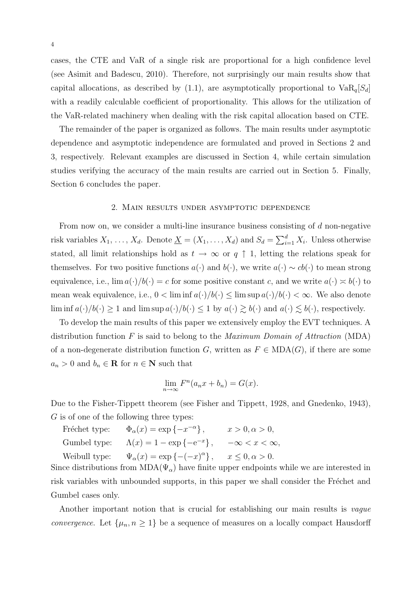cases, the CTE and VaR of a single risk are proportional for a high confidence level (see Asimit and Badescu, 2010). Therefore, not surprisingly our main results show that capital allocations, as described by  $(1.1)$ , are asymptotically proportional to  $VaR<sub>q</sub>[S<sub>d</sub>]$ with a readily calculable coefficient of proportionality. This allows for the utilization of the VaR-related machinery when dealing with the risk capital allocation based on CTE.

The remainder of the paper is organized as follows. The main results under asymptotic dependence and asymptotic independence are formulated and proved in Sections 2 and 3, respectively. Relevant examples are discussed in Section 4, while certain simulation studies verifying the accuracy of the main results are carried out in Section 5. Finally, Section 6 concludes the paper.

#### 2. Main results under asymptotic dependence

From now on, we consider a multi-line insurance business consisting of *d* non-negative risk variables  $X_1, \ldots, X_d$ . Denote  $\underline{X} = (X_1, \ldots, X_d)$  and  $S_d = \sum_{i=1}^d X_i$ . Unless otherwise stated, all limit relationships hold as  $t \to \infty$  or  $q \uparrow 1$ , letting the relations speak for themselves. For two positive functions  $a(\cdot)$  and  $b(\cdot)$ , we write  $a(\cdot) \sim cb(\cdot)$  to mean strong equivalence, i.e.,  $\lim a(\cdot)/b(\cdot) = c$  for some positive constant *c*, and we write  $a(\cdot) \approx b(\cdot)$  to mean weak equivalence, i.e.,  $0 < \liminf a(\cdot)/b(\cdot) \leq \limsup a(\cdot)/b(\cdot) < \infty$ . We also denote lim inf  $a(\cdot)/b(\cdot) \ge 1$  and lim sup  $a(\cdot)/b(\cdot) \le 1$  by  $a(\cdot) \ge b(\cdot)$  and  $a(\cdot) \le b(\cdot)$ , respectively.

To develop the main results of this paper we extensively employ the EVT techniques. A distribution function *F* is said to belong to the *Maximum Domain of Attraction* (MDA) of a non-degenerate distribution function *G*, written as  $F \in MDA(G)$ , if there are some  $a_n > 0$  and  $b_n \in \mathbf{R}$  for  $n \in \mathbf{N}$  such that

$$
\lim_{n \to \infty} F^n(a_n x + b_n) = G(x).
$$

Due to the Fisher-Tippett theorem (see Fisher and Tippett, 1928, and Gnedenko, 1943), *G* is of one of the following three types:

Fréchet type:  $\Phi_{\alpha}(x) = \exp\{-x^{-\alpha}\}, \quad x > 0, \alpha > 0,$ Gumbel type:  $\Lambda(x) = 1 - \exp\{-e^{-x}\}, \quad -\infty < x < \infty,$ Weibull type:  $\Psi_{\alpha}(x) = \exp\{-(-x)^{\alpha}\}, \quad x \leq 0, \alpha > 0.$ 

Since distributions from  $MDA(\Psi_{\alpha})$  have finite upper endpoints while we are interested in risk variables with unbounded supports, in this paper we shall consider the Fréchet and Gumbel cases only.

Another important notion that is crucial for establishing our main results is *vague convergence*. Let  $\{\mu_n, n \geq 1\}$  be a sequence of measures on a locally compact Hausdorff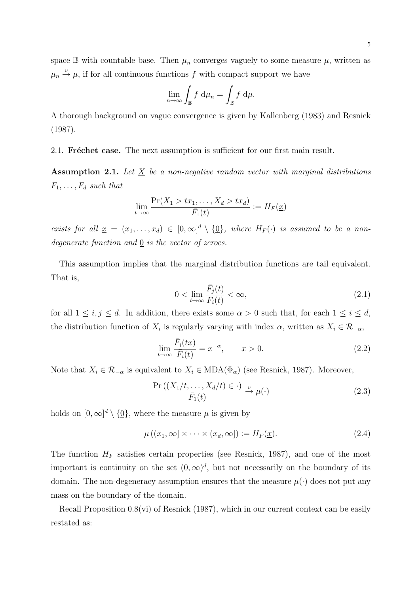space  $\mathbb B$  with countable base. Then  $\mu_n$  converges vaguely to some measure  $\mu$ , written as  $\mu_n \stackrel{v}{\rightarrow} \mu$ , if for all continuous functions *f* with compact support we have

$$
\lim_{n \to \infty} \int_{\mathbb{B}} f \, \mathrm{d}\mu_n = \int_{\mathbb{B}} f \, \mathrm{d}\mu.
$$

A thorough background on vague convergence is given by Kallenberg (1983) and Resnick (1987).

2.1. **Fréchet case.** The next assumption is sufficient for our first main result.

**Assumption 2.1.** *Let X be a non-negative random vector with marginal distributions*  $F_1, \ldots, F_d$  *such that* 

$$
\lim_{t \to \infty} \frac{\Pr(X_1 > tx_1, \dots, X_d > tx_d)}{\bar{F}_1(t)} := H_F(\underline{x})
$$

*exists for all*  $\underline{x} = (x_1, \ldots, x_d) \in [0, \infty]^d \setminus \{0\}$ , where  $H_F(\cdot)$  is assumed to be a non*degenerate function and* <u>0</u> *is the vector of zeroes.* 

This assumption implies that the marginal distribution functions are tail equivalent. That is,

$$
0 < \lim_{t \to \infty} \frac{\bar{F}_j(t)}{\bar{F}_i(t)} < \infty,\tag{2.1}
$$

for all  $1 \leq i, j \leq d$ . In addition, there exists some  $\alpha > 0$  such that, for each  $1 \leq i \leq d$ , the distribution function of  $X_i$  is regularly varying with index  $\alpha$ , written as  $X_i \in \mathcal{R}_{-\alpha}$ ,

$$
\lim_{t \to \infty} \frac{\bar{F}_i(tx)}{\bar{F}_i(t)} = x^{-\alpha}, \qquad x > 0.
$$
\n(2.2)

Note that  $X_i \in \mathcal{R}_{-\alpha}$  is equivalent to  $X_i \in \text{MDA}(\Phi_\alpha)$  (see Resnick, 1987). Moreover,

$$
\frac{\Pr\left(\left(X_1/t, \dots, X_d/t\right) \in \cdot\right)}{\bar{F}_1(t)} \xrightarrow{v} \mu(\cdot)
$$
\n(2.3)

holds on  $[0, \infty]^d \setminus \{0\}$ , where the measure  $\mu$  is given by

$$
\mu\left((x_1,\infty]\times\cdots\times(x_d,\infty]\right) := H_F(\underline{x}).\tag{2.4}
$$

The function  $H_F$  satisfies certain properties (see Resnick, 1987), and one of the most important is continuity on the set  $(0, \infty)^d$ , but not necessarily on the boundary of its domain. The non-degeneracy assumption ensures that the measure  $\mu(\cdot)$  does not put any mass on the boundary of the domain.

Recall Proposition  $0.8(vi)$  of Resnick (1987), which in our current context can be easily restated as: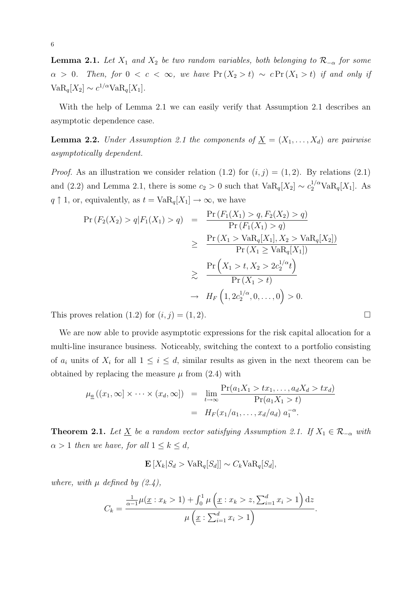**Lemma 2.1.** *Let*  $X_1$  *and*  $X_2$  *be two random variables, both belonging to*  $\mathcal{R}_{-\alpha}$  *for some*  $\alpha > 0$ *. Then, for*  $0 < c < \infty$ *, we have*  $\Pr(X_2 > t) \sim c \Pr(X_1 > t)$  *if and only if*  $VaR_q[X_2] \sim c^{1/\alpha}VaR_q[X_1].$ 

With the help of Lemma 2.1 we can easily verify that Assumption 2.1 describes an asymptotic dependence case.

**Lemma 2.2.** *Under Assumption 2.1 the components of*  $\underline{X} = (X_1, \ldots, X_d)$  *are pairwise asymptotically dependent.*

*Proof.* As an illustration we consider relation (1.2) for  $(i, j) = (1, 2)$ . By relations (2.1) and (2.2) and Lemma 2.1, there is some  $c_2 > 0$  such that  $VaR_q[X_2] \sim c_2^{1/\alpha}VaR_q[X_1]$ . As *q*  $↑$  1, or, equivalently, as  $t = \text{VaR}_{q}[X_1] \rightarrow \infty$ , we have

$$
\Pr(F_2(X_2) > q | F_1(X_1) > q) = \frac{\Pr(F_1(X_1) > q, F_2(X_2) > q)}{\Pr(F_1(X_1) > q)} \\
\geq \frac{\Pr(X_1 > \text{VaR}_q[X_1], X_2 > \text{VaR}_q[X_2])}{\Pr(X_1 \geq \text{VaR}_q[X_1])} \\
\geq \frac{\Pr(X_1 > t, X_2 > 2c_2^{1/\alpha} t)}{\Pr(X_1 > t)} \\
\to H_F\left(1, 2c_2^{1/\alpha}, 0, \dots, 0\right) > 0.
$$

This proves relation  $(1.2)$  for  $(i, j) = (1, 2)$ .

We are now able to provide asymptotic expressions for the risk capital allocation for a multi-line insurance business. Noticeably, switching the context to a portfolio consisting of  $a_i$  units of  $X_i$  for all  $1 \leq i \leq d$ , similar results as given in the next theorem can be obtained by replacing the measure  $\mu$  from  $(2.4)$  with

$$
\mu_{\underline{a}}((x_1,\infty)\times\cdots\times(x_d,\infty)) = \lim_{t\to\infty} \frac{\Pr(a_1X_1 > tx_1,\ldots,a_dX_d > tx_d)}{\Pr(a_1X_1 > t)} \n= H_F(x_1/a_1,\ldots,x_d/a_d) a_1^{-\alpha}.
$$

**Theorem 2.1.** *Let*  $\underline{X}$  *be a random vector satisfying Assumption 2.1. If*  $X_1 \in \mathcal{R}_{-\alpha}$  *with*  $\alpha > 1$  *then we have, for all*  $1 \leq k \leq d$ ,

 $\mathbf{E}[X_k|S_d > \text{VaR}_q[S_d]] \sim C_k \text{VaR}_q[S_d],$ 

*where, with*  $\mu$  *defined by*  $(2.4)$ ,

$$
C_k = \frac{\frac{1}{\alpha - 1}\mu(\underline{x} : x_k > 1) + \int_0^1 \mu(\underline{x} : x_k > z, \sum_{i=1}^d x_i > 1) \, dz}{\mu(\underline{x} : \sum_{i=1}^d x_i > 1)}.
$$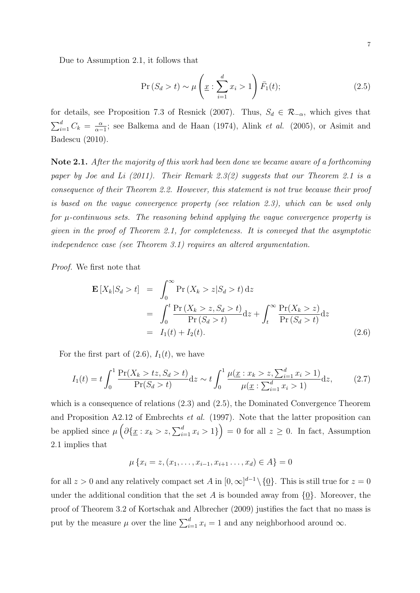$$
\Pr(S_d > t) \sim \mu\left(\underline{x} : \sum_{i=1}^d x_i > 1\right) \bar{F}_1(t); \tag{2.5}
$$

for details, see Proposition 7.3 of Resnick (2007). Thus,  $S_d \in \mathcal{R}_{-\alpha}$ , which gives that  $\sum_{i=1}^d C_k = \frac{\alpha}{\alpha - 1}$  $\frac{\alpha}{\alpha-1}$ ; see Balkema and de Haan (1974), Alink *et al.* (2005), or Asimit and Badescu (2010).

**Note 2.1.** *After the majority of this work had been done we became aware of a forthcoming paper by Joe and Li (2011). Their Remark 2.3(2) suggests that our Theorem 2.1 is a consequence of their Theorem 2.2. However, this statement is not true because their proof is based on the vague convergence property (see relation 2.3), which can be used only for µ-continuous sets. The reasoning behind applying the vague convergence property is given in the proof of Theorem 2.1, for completeness. It is conveyed that the asymptotic independence case (see Theorem 3.1) requires an altered argumentation.*

*Proof.* We first note that

$$
\mathbf{E}\left[X_k|S_d>t\right] = \int_0^\infty \Pr\left(X_k>z|S_d>t\right) dz
$$
  
\n
$$
= \int_0^t \frac{\Pr\left(X_k>z,S_d>t\right)}{\Pr\left(S_d>t\right)} dz + \int_t^\infty \frac{\Pr(X_k>z)}{\Pr\left(S_d>t\right)} dz
$$
  
\n
$$
= I_1(t) + I_2(t). \tag{2.6}
$$

For the first part of  $(2.6)$ ,  $I_1(t)$ , we have

$$
I_1(t) = t \int_0^1 \frac{\Pr(X_k > tz, S_d > t)}{\Pr(S_d > t)} \, \mathrm{d}z \sim t \int_0^1 \frac{\mu(\underline{x} : x_k > z, \sum_{i=1}^d x_i > 1)}{\mu(\underline{x} : \sum_{i=1}^d x_i > 1)} \, \mathrm{d}z,\tag{2.7}
$$

which is a consequence of relations (2.3) and (2.5), the Dominated Convergence Theorem and Proposition A2.12 of Embrechts *et al.* (1997). Note that the latter proposition can be applied since  $\mu\left(\partial\{\underline{x}: x_k > z, \sum_{i=1}^d x_i > 1\}\right) = 0$  for all  $z \geq 0$ . In fact, Assumption 2.1 implies that

$$
\mu\left\{x_i = z, (x_1, \ldots, x_{i-1}, x_{i+1}, \ldots, x_d) \in A\right\} = 0
$$

for all  $z > 0$  and any relatively compact set *A* in  $[0, \infty]^{d-1} \setminus {\underline{0}}$ . This is still true for  $z = 0$ under the additional condition that the set A is bounded away from  $\{0\}$ . Moreover, the proof of Theorem 3.2 of Kortschak and Albrecher (2009) justifies the fact that no mass is put by the measure  $\mu$  over the line  $\sum_{i=1}^{d} x_i = 1$  and any neighborhood around  $\infty$ .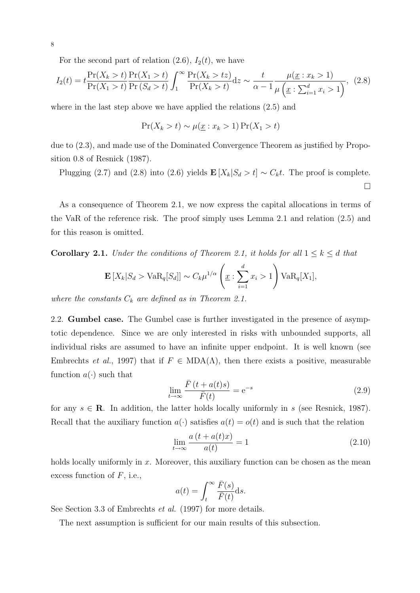For the second part of relation  $(2.6)$ ,  $I_2(t)$ , we have

$$
I_2(t) = t \frac{\Pr(X_k > t)}{\Pr(X_1 > t)} \frac{\Pr(X_1 > t)}{\Pr(S_d > t)} \int_1^{\infty} \frac{\Pr(X_k > tz)}{\Pr(X_k > t)} dz \sim \frac{t}{\alpha - 1} \frac{\mu(\underline{x} : x_k > 1)}{\mu(\underline{x} : \sum_{i=1}^d x_i > 1)}, \tag{2.8}
$$

where in the last step above we have applied the relations (2.5) and

$$
\Pr(X_k > t) \sim \mu(\underline{x} : x_k > 1) \Pr(X_1 > t)
$$

due to (2.3), and made use of the Dominated Convergence Theorem as justified by Proposition 0.8 of Resnick (1987).

Plugging (2.7) and (2.8) into (2.6) yields  $\mathbf{E}[X_k|S_d > t] \sim C_k t$ . The proof is complete. ¤

As a consequence of Theorem 2.1, we now express the capital allocations in terms of the VaR of the reference risk. The proof simply uses Lemma 2.1 and relation (2.5) and for this reason is omitted.

**Corollary 2.1.** *Under the conditions of Theorem 2.1, it holds for all*  $1 \leq k \leq d$  *that* 

$$
\mathbf{E}\left[X_k|S_d > \text{VaR}_q[S_d]\right] \sim C_k \mu^{1/\alpha} \left(\underline{x} : \sum_{i=1}^d x_i > 1\right) \text{VaR}_q[X_1],
$$

*where the constants*  $C_k$  *are defined as in Theorem 2.1.* 

2.2. **Gumbel case.** The Gumbel case is further investigated in the presence of asymptotic dependence. Since we are only interested in risks with unbounded supports, all individual risks are assumed to have an infinite upper endpoint. It is well known (see Embrechts *et al.*, 1997) that if  $F \in MDA(\Lambda)$ , then there exists a positive, measurable function  $a(\cdot)$  such that

$$
\lim_{t \to \infty} \frac{\bar{F}(t + a(t)s)}{\bar{F}(t)} = e^{-s}
$$
\n(2.9)

for any  $s \in \mathbf{R}$ . In addition, the latter holds locally uniformly in *s* (see Resnick, 1987). Recall that the auxiliary function  $a(\cdot)$  satisfies  $a(t) = o(t)$  and is such that the relation

$$
\lim_{t \to \infty} \frac{a(t + a(t)x)}{a(t)} = 1
$$
\n(2.10)

holds locally uniformly in x. Moreover, this auxiliary function can be chosen as the mean excess function of *F*, i.e.,

$$
a(t) = \int_t^{\infty} \frac{\bar{F}(s)}{\bar{F}(t)} ds.
$$

See Section 3.3 of Embrechts *et al.* (1997) for more details.

The next assumption is sufficient for our main results of this subsection.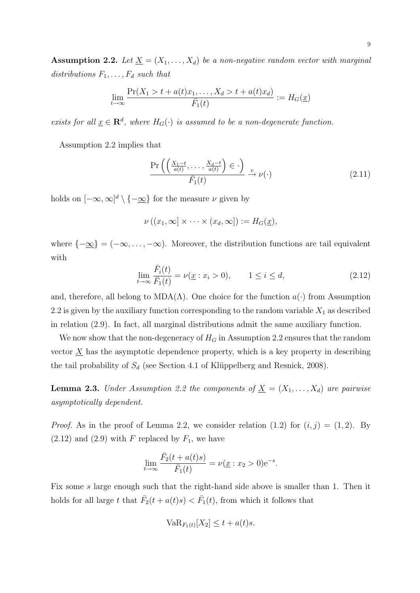**Assumption 2.2.** *Let*  $\underline{X} = (X_1, \ldots, X_d)$  *be a non-negative random vector with marginal distributions F*1*, . . . , F<sup>d</sup> such that*

$$
\lim_{t \to \infty} \frac{\Pr(X_1 > t + a(t)x_1, \dots, X_d > t + a(t)x_d)}{\bar{F}_1(t)} := H_G(\underline{x})
$$

*exists for all*  $\underline{x} \in \mathbb{R}^d$ , where  $H_G(\cdot)$  *is assumed to be a non-degenerate function.* 

Assumption 2.2 implies that

$$
\frac{\Pr\left(\left(\frac{X_1-t}{a(t)},\ldots,\frac{X_d-t}{a(t)}\right)\in\cdot\right)}{\bar{F}_1(t)} \xrightarrow{v} \nu(\cdot) \tag{2.11}
$$

holds on  $[-\infty, \infty]^d \setminus \{-\underline{\infty}\}\$  for the measure  $\nu$  given by

$$
\nu((x_1,\infty]\times\cdots\times(x_d,\infty]):=H_G(\underline{x}),
$$

where  $\{-\infty\} = (-\infty, \ldots, -\infty)$ . Moreover, the distribution functions are tail equivalent with

$$
\lim_{t \to \infty} \frac{\bar{F}_i(t)}{\bar{F}_1(t)} = \nu(\underline{x} : x_i > 0), \qquad 1 \le i \le d,
$$
\n(2.12)

and, therefore, all belong to  $MDA(\Lambda)$ . One choice for the function  $a(\cdot)$  from Assumption 2.2 is given by the auxiliary function corresponding to the random variable  $X_1$  as described in relation (2.9). In fact, all marginal distributions admit the same auxiliary function.

We now show that the non-degeneracy of  $H_G$  in Assumption 2.2 ensures that the random vector  $\underline{X}$  has the asymptotic dependence property, which is a key property in describing the tail probability of  $S_d$  (see Section 4.1 of Klüppelberg and Resnick, 2008).

**Lemma 2.3.** *Under Assumption 2.2 the components of*  $\underline{X} = (X_1, \ldots, X_d)$  *are pairwise asymptotically dependent.*

*Proof.* As in the proof of Lemma 2.2, we consider relation (1.2) for  $(i, j) = (1, 2)$ . By  $(2.12)$  and  $(2.9)$  with *F* replaced by  $F_1$ , we have

$$
\lim_{t \to \infty} \frac{\bar{F}_2(t + a(t)s)}{\bar{F}_1(t)} = \nu(\underline{x} : x_2 > 0) e^{-s}.
$$

Fix some *s* large enough such that the right-hand side above is smaller than 1. Then it holds for all large *t* that  $\bar{F}_2(t + a(t)s) < \bar{F}_1(t)$ , from which it follows that

$$
VaR_{F_1(t)}[X_2] \le t + a(t)s.
$$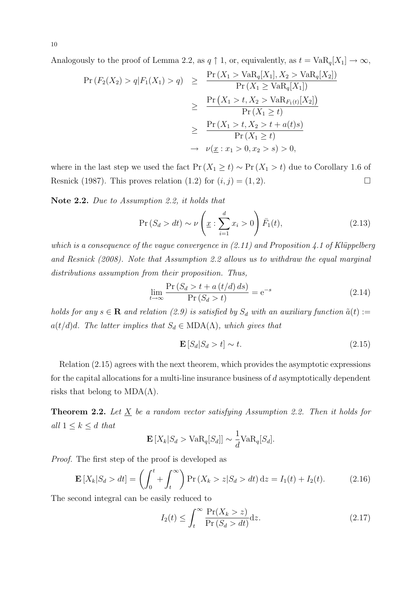Analogously to the proof of Lemma 2.2, as  $q \uparrow 1$ , or, equivalently, as  $t = \text{VaR}_q[X_1] \to \infty$ ,

$$
\Pr(F_2(X_2) > q | F_1(X_1) > q) \geq \frac{\Pr(X_1 > \text{VaR}_q[X_1], X_2 > \text{VaR}_q[X_2])}{\Pr(X_1 \geq \text{VaR}_q[X_1])}
$$
\n
$$
\geq \frac{\Pr(X_1 > t, X_2 > \text{VaR}_{F_1(t)}[X_2])}{\Pr(X_1 \geq t)}
$$
\n
$$
\geq \frac{\Pr(X_1 > t, X_2 > t + a(t)s)}{\Pr(X_1 \geq t)}
$$
\n
$$
\to \nu(\underline{x} : x_1 > 0, x_2 > s) > 0,
$$

where in the last step we used the fact  $Pr(X_1 \ge t) \sim Pr(X_1 > t)$  due to Corollary 1.6 of Resnick (1987). This proves relation (1.2) for  $(i, j) = (1, 2)$ .

**Note 2.2.** *Due to Assumption 2.2, it holds that*

$$
\Pr(S_d > dt) \sim \nu \left(\underline{x} : \sum_{i=1}^d x_i > 0\right) \bar{F}_1(t),\tag{2.13}
$$

*which is a consequence of the vague convergence in (2.11) and Proposition 4.1 of Klüppelberg and Resnick (2008). Note that Assumption 2.2 allows us to withdraw the equal marginal distributions assumption from their proposition. Thus,*

$$
\lim_{t \to \infty} \frac{\Pr\left(S_d > t + a\left(t/d\right) ds\right)}{\Pr\left(S_d > t\right)} = e^{-s} \tag{2.14}
$$

*holds for any*  $s \in \mathbf{R}$  *and relation* (2.9) is satisfied by  $S_d$  with an auxiliary function  $\tilde{a}(t) :=$  $a(t/d)d$ *. The latter implies that*  $S_d \in \text{MDA}(\Lambda)$ *, which gives that* 

$$
\mathbf{E}\left[S_d|S_d>t\right] \sim t. \tag{2.15}
$$

Relation (2.15) agrees with the next theorem, which provides the asymptotic expressions for the capital allocations for a multi-line insurance business of *d* asymptotically dependent risks that belong to  $MDA(\Lambda)$ .

**Theorem 2.2.** Let  $\underline{X}$  be a random vector satisfying Assumption 2.2. Then it holds for *all*  $1 \leq k \leq d$  *that* 

$$
\mathbf{E}\left[X_k|S_d > \text{VaR}_q[S_d]\right] \sim \frac{1}{d} \text{VaR}_q[S_d].
$$

*Proof.* The first step of the proof is developed as

$$
\mathbf{E}\left[X_k|S_d > dt\right] = \left(\int_0^t + \int_t^\infty\right) \Pr\left(X_k > z|S_d > dt\right) \mathrm{d}z = I_1(t) + I_2(t). \tag{2.16}
$$

The second integral can be easily reduced to

$$
I_2(t) \le \int_t^\infty \frac{\Pr(X_k > z)}{\Pr(S_d > dt)} \mathrm{d}z. \tag{2.17}
$$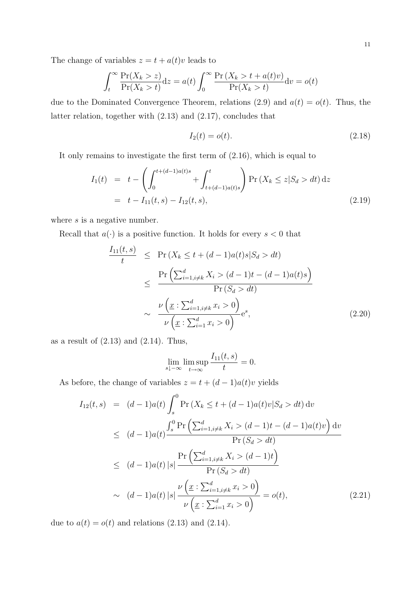The change of variables  $z = t + a(t)v$  leads to

$$
\int_{t}^{\infty} \frac{\Pr(X_k > z)}{\Pr(X_k > t)} dz = a(t) \int_{0}^{\infty} \frac{\Pr(X_k > t + a(t)v)}{\Pr(X_k > t)} dv = o(t)
$$

due to the Dominated Convergence Theorem, relations (2.9) and  $a(t) = o(t)$ . Thus, the latter relation, together with (2.13) and (2.17), concludes that

$$
I_2(t) = o(t). \t\t(2.18)
$$

It only remains to investigate the first term of (2.16), which is equal to

$$
I_1(t) = t - \left(\int_0^{t + (d-1)a(t)s} + \int_{t + (d-1)a(t)s}^t \right) \Pr\left(X_k \le z | S_d > dt\right) dz
$$
  
=  $t - I_{11}(t, s) - I_{12}(t, s),$  (2.19)

where *s* is a negative number.

Recall that  $a(\cdot)$  is a positive function. It holds for every  $s < 0$  that

$$
\frac{I_{11}(t,s)}{t} \le \Pr(X_k \le t + (d-1)a(t)s|S_d > dt)
$$
\n
$$
\le \frac{\Pr\left(\sum_{i=1, i\neq k}^d X_i > (d-1)t - (d-1)a(t)s\right)}{\Pr(S_d > dt)}
$$
\n
$$
\sim \frac{\nu\left(\underline{x} : \sum_{i=1, i\neq k}^d x_i > 0\right)}{\nu\left(\underline{x} : \sum_{i=1}^d x_i > 0\right)} e^s,
$$
\n(2.20)

as a result of  $(2.13)$  and  $(2.14)$ . Thus,

$$
\lim_{s \downarrow -\infty} \limsup_{t \to \infty} \frac{I_{11}(t, s)}{t} = 0.
$$

As before, the change of variables  $z = t + (d - 1)a(t)v$  yields

$$
I_{12}(t,s) = (d-1)a(t) \int_{s}^{0} \Pr(X_{k} \leq t + (d-1)a(t)v|S_{d} > dt) dv
$$
  
\n
$$
\leq (d-1)a(t) \frac{\int_{s}^{0} \Pr\left(\sum_{i=1, i\neq k}^{d} X_{i} > (d-1)t - (d-1)a(t)v\right) dv}{\Pr(S_{d} > dt)}
$$
  
\n
$$
\leq (d-1)a(t) |s| \frac{\Pr\left(\sum_{i=1, i\neq k}^{d} X_{i} > (d-1)t\right)}{\Pr(S_{d} > dt)}
$$
  
\n
$$
\sim (d-1)a(t) |s| \frac{\nu\left(\underline{x} : \sum_{i=1, i\neq k}^{d} x_{i} > 0\right)}{\nu\left(\underline{x} : \sum_{i=1}^{d} x_{i} > 0\right)} = o(t),
$$
\n(2.21)

due to  $a(t) = o(t)$  and relations (2.13) and (2.14).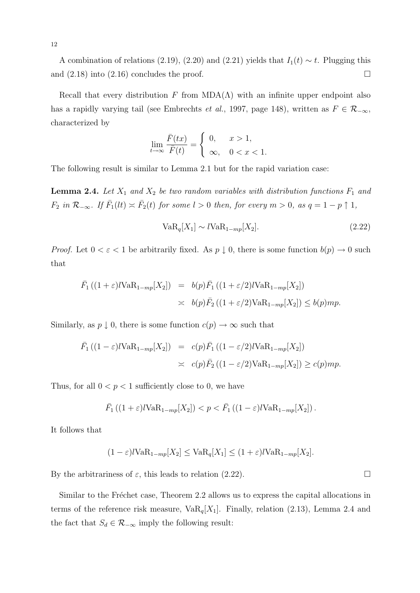A combination of relations (2.19), (2.20) and (2.21) yields that  $I_1(t) \sim t$ . Plugging this and  $(2.18)$  into  $(2.16)$  concludes the proof.

Recall that every distribution *F* from  $MDA(\Lambda)$  with an infinite upper endpoint also has a rapidly varying tail (see Embrechts *et al.*, 1997, page 148), written as  $F \in \mathcal{R}_{-\infty}$ , characterized by

$$
\lim_{t \to \infty} \frac{\bar{F}(tx)}{\bar{F}(t)} = \begin{cases} 0, & x > 1, \\ \infty, & 0 < x < 1. \end{cases}
$$

The following result is similar to Lemma 2.1 but for the rapid variation case:

**Lemma 2.4.** Let  $X_1$  and  $X_2$  be two random variables with distribution functions  $F_1$  and  $F_2$  in  $\mathcal{R}_{-\infty}$ . If  $\bar{F}_1(lt) \asymp \bar{F}_2(t)$  for some  $l > 0$  then, for every  $m > 0$ , as  $q = 1 - p \uparrow 1$ ,

$$
VaR_q[X_1] \sim lVaR_{1-mp}[X_2].\tag{2.22}
$$

*Proof.* Let  $0 < \varepsilon < 1$  be arbitrarily fixed. As  $p \downarrow 0$ , there is some function  $b(p) \to 0$  such that

$$
\begin{array}{rcl}\n\bar{F}_1\left((1+\varepsilon)l\mathrm{VaR}_{1-mp}[X_2]\right) & = & b(p)\bar{F}_1\left((1+\varepsilon/2)l\mathrm{VaR}_{1-mp}[X_2]\right) \\
& \geq & b(p)\bar{F}_2\left((1+\varepsilon/2)\mathrm{VaR}_{1-mp}[X_2]\right) \leq b(p)mp.\n\end{array}
$$

Similarly, as  $p \downarrow 0$ , there is some function  $c(p) \rightarrow \infty$  such that

$$
\begin{array}{rcl}\n\bar{F}_1\left((1-\varepsilon)l\mathrm{VaR}_{1-mp}[X_2]\right) & = & c(p)\bar{F}_1\left((1-\varepsilon/2)l\mathrm{VaR}_{1-mp}[X_2]\right) \\
& \geq & c(p)\bar{F}_2\left((1-\varepsilon/2)\mathrm{VaR}_{1-mp}[X_2]\right) \geq c(p)mp.\n\end{array}
$$

Thus, for all  $0 < p < 1$  sufficiently close to 0, we have

$$
\bar{F}_1\left((1+\varepsilon)l\text{VaR}_{1-mp}[X_2]\right) < p < \bar{F}_1\left((1-\varepsilon)l\text{VaR}_{1-mp}[X_2]\right).
$$

It follows that

$$
(1 - \varepsilon)l \text{VaR}_{1 - mp}[X_2] \leq \text{VaR}_q[X_1] \leq (1 + \varepsilon)l \text{VaR}_{1 - mp}[X_2].
$$

By the arbitrariness of  $\varepsilon$ , this leads to relation (2.22).

Similar to the Fréchet case, Theorem 2.2 allows us to express the capital allocations in terms of the reference risk measure,  $VaR_q[X_1]$ . Finally, relation (2.13), Lemma 2.4 and the fact that  $S_d \in \mathcal{R}_{-\infty}$  imply the following result: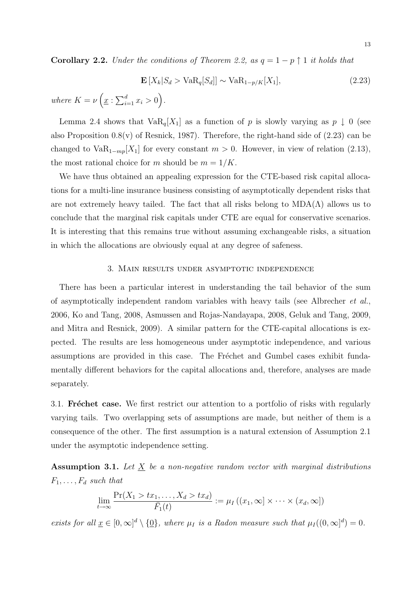**Corollary 2.2.** *Under the conditions of Theorem 2.2, as*  $q = 1 - p \uparrow 1$  *it holds that* 

$$
\mathbf{E}\left[X_k|S_d > \text{VaR}_q[S_d]\right] \sim \text{VaR}_{1-p/K}[X_1],\tag{2.23}
$$

*where*  $K = \nu \left( \underline{x} : \sum_{i=1}^{d} x_i > 0 \right)$ .

Lemma 2.4 shows that  $VaR_q[X_1]$  as a function of *p* is slowly varying as  $p \downarrow 0$  (see also Proposition  $0.8(v)$  of Resnick, 1987). Therefore, the right-hand side of  $(2.23)$  can be changed to  $VaR_{1-mp}[X_1]$  for every constant  $m > 0$ . However, in view of relation (2.13), the most rational choice for *m* should be  $m = 1/K$ .

We have thus obtained an appealing expression for the CTE-based risk capital allocations for a multi-line insurance business consisting of asymptotically dependent risks that are not extremely heavy tailed. The fact that all risks belong to  $MDA(\Lambda)$  allows us to conclude that the marginal risk capitals under CTE are equal for conservative scenarios. It is interesting that this remains true without assuming exchangeable risks, a situation in which the allocations are obviously equal at any degree of safeness.

#### 3. Main results under asymptotic independence

There has been a particular interest in understanding the tail behavior of the sum of asymptotically independent random variables with heavy tails (see Albrecher *et al.*, 2006, Ko and Tang, 2008, Asmussen and Rojas-Nandayapa, 2008, Geluk and Tang, 2009, and Mitra and Resnick, 2009). A similar pattern for the CTE-capital allocations is expected. The results are less homogeneous under asymptotic independence, and various assumptions are provided in this case. The Fréchet and Gumbel cases exhibit fundamentally different behaviors for the capital allocations and, therefore, analyses are made separately.

3.1. **Fréchet case.** We first restrict our attention to a portfolio of risks with regularly varying tails. Two overlapping sets of assumptions are made, but neither of them is a consequence of the other. The first assumption is a natural extension of Assumption 2.1 under the asymptotic independence setting.

**Assumption 3.1.** *Let X be a non-negative random vector with marginal distributions*  $F_1, \ldots, F_d$  *such that* 

$$
\lim_{t \to \infty} \frac{\Pr(X_1 > tx_1, \dots, X_d > tx_d)}{\bar{F}_1(t)} := \mu_I((x_1, \infty] \times \dots \times (x_d, \infty])
$$

*exists for all*  $\underline{x} \in [0, \infty]^d \setminus \{\underline{0}\}\$ *, where*  $\mu_I$  *is a Radon measure such that*  $\mu_I((0, \infty]^d) = 0$ *.*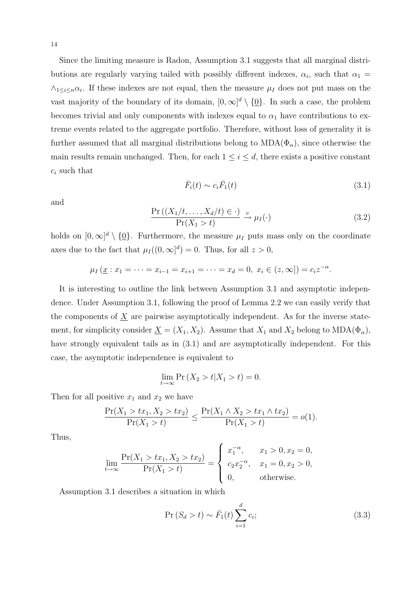Since the limiting measure is Radon, Assumption 3.1 suggests that all marginal distributions are regularly varying tailed with possibly different indexes,  $\alpha_i$ , such that  $\alpha_1 =$  $\wedge_{1 \leq i \leq n} \alpha_i$ . If these indexes are not equal, then the measure  $\mu_I$  does not put mass on the vast majority of the boundary of its domain,  $[0, \infty]^d \setminus \{0\}$ . In such a case, the problem becomes trivial and only components with indexes equal to  $\alpha_1$  have contributions to extreme events related to the aggregate portfolio. Therefore, without loss of generality it is further assumed that all marginal distributions belong to  $MDA(\Phi_{\alpha})$ , since otherwise the main results remain unchanged. Then, for each  $1 \leq i \leq d$ , there exists a positive constant *c<sup>i</sup>* such that

$$
\bar{F}_i(t) \sim c_i \bar{F}_1(t) \tag{3.1}
$$

and

$$
\frac{\Pr\left(\left(X_1/t, \dots, X_d/t\right) \in \cdot\right)}{\Pr(X_1 > t)} \xrightarrow{v} \mu_I(\cdot)
$$
\n(3.2)

holds on  $[0, \infty]^d \setminus \{0\}$ . Furthermore, the measure  $\mu_I$  puts mass only on the coordinate axes due to the fact that  $\mu_I((0,\infty]^d) = 0$ . Thus, for all  $z > 0$ ,

$$
\mu_I(\underline{x}:x_1=\cdots=x_{i-1}=x_{i+1}=\cdots=x_d=0, x_i\in(z,\infty])=c_iz^{-\alpha}.
$$

It is interesting to outline the link between Assumption 3.1 and asymptotic independence. Under Assumption 3.1, following the proof of Lemma 2.2 we can easily verify that the components of  $\underline{X}$  are pairwise asymptotically independent. As for the inverse statement, for simplicity consider  $\underline{X} = (X_1, X_2)$ . Assume that  $X_1$  and  $X_2$  belong to  $MDA(\Phi_\alpha)$ , have strongly equivalent tails as in  $(3.1)$  and are asymptotically independent. For this case, the asymptotic independence is equivalent to

$$
\lim_{t \to \infty} \Pr\left(X_2 > t | X_1 > t\right) = 0.
$$

Then for all positive  $x_1$  and  $x_2$  we have

$$
\frac{\Pr(X_1 > tx_1, X_2 > tx_2)}{\Pr(X_1 > t)} \le \frac{\Pr(X_1 \land X_2 > tx_1 \land tx_2)}{\Pr(X_1 > t)} = o(1).
$$

Thus,

$$
\lim_{t \to \infty} \frac{\Pr(X_1 > tx_1, X_2 > tx_2)}{\Pr(X_1 > t)} = \begin{cases} x_1^{-\alpha}, & x_1 > 0, x_2 = 0, \\ c_2 x_2^{-\alpha}, & x_1 = 0, x_2 > 0, \\ 0, & \text{otherwise.} \end{cases}
$$

Assumption 3.1 describes a situation in which

$$
\Pr(S_d > t) \sim \bar{F}_1(t) \sum_{i=1}^d c_i;
$$
\n(3.3)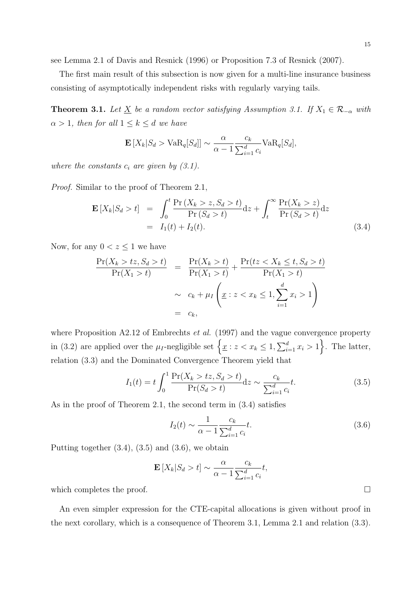see Lemma 2.1 of Davis and Resnick (1996) or Proposition 7.3 of Resnick (2007).

The first main result of this subsection is now given for a multi-line insurance business consisting of asymptotically independent risks with regularly varying tails.

**Theorem 3.1.** *Let*  $\underline{X}$  *be a random vector satisfying Assumption 3.1. If*  $X_1 \in \mathcal{R}_{-\alpha}$  *with*  $\alpha > 1$ *, then for all*  $1 \leq k \leq d$  *we have* 

$$
\mathbf{E}\left[X_k|S_d > \text{VaR}_q[S_d]\right] \sim \frac{\alpha}{\alpha - 1} \frac{c_k}{\sum_{i=1}^d c_i} \text{VaR}_q[S_d],
$$

*where the constants*  $c_i$  *are given by (3.1).* 

*Proof.* Similar to the proof of Theorem 2.1,

$$
\mathbf{E}\left[X_k|S_d>t\right] = \int_0^t \frac{\Pr\left(X_k>z,S_d>t\right)}{\Pr\left(S_d>t\right)} \mathrm{d}z + \int_t^\infty \frac{\Pr\left(X_k>z\right)}{\Pr\left(S_d>t\right)} \mathrm{d}z
$$
\n
$$
= I_1(t) + I_2(t). \tag{3.4}
$$

Now, for any  $0 < z \leq 1$  we have

$$
\frac{\Pr(X_k > tz, S_d > t)}{\Pr(X_1 > t)} = \frac{\Pr(X_k > t)}{\Pr(X_1 > t)} + \frac{\Pr(tz < X_k \le t, S_d > t)}{\Pr(X_1 > t)}
$$
\n
$$
\sim c_k + \mu_I \left( \underline{x} : z < x_k \le 1, \sum_{i=1}^d x_i > 1 \right)
$$
\n
$$
= c_k,
$$

where Proposition A2.12 of Embrechts *et al.* (1997) and the vague convergence property in (3.2) are applied over the  $\mu_I$ -negligible set  $\left\{ \underline{x} : z < x_k \leq 1, \sum_{i=1}^d x_i > 1 \right\}$ . The latter, relation (3.3) and the Dominated Convergence Theorem yield that

$$
I_1(t) = t \int_0^1 \frac{\Pr(X_k > tz, S_d > t)}{\Pr(S_d > t)} \, \mathrm{d}z \sim \frac{c_k}{\sum_{i=1}^d c_i} t. \tag{3.5}
$$

As in the proof of Theorem 2.1, the second term in (3.4) satisfies

$$
I_2(t) \sim \frac{1}{\alpha - 1} \frac{c_k}{\sum_{i=1}^d c_i} t.
$$
\n(3.6)

Putting together  $(3.4)$ ,  $(3.5)$  and  $(3.6)$ , we obtain

$$
\mathbf{E}\left[X_k|S_d > t\right] \sim \frac{\alpha}{\alpha - 1} \frac{c_k}{\sum_{i=1}^d c_i} t,
$$

which completes the proof.  $\Box$ 

An even simpler expression for the CTE-capital allocations is given without proof in the next corollary, which is a consequence of Theorem 3.1, Lemma 2.1 and relation (3.3).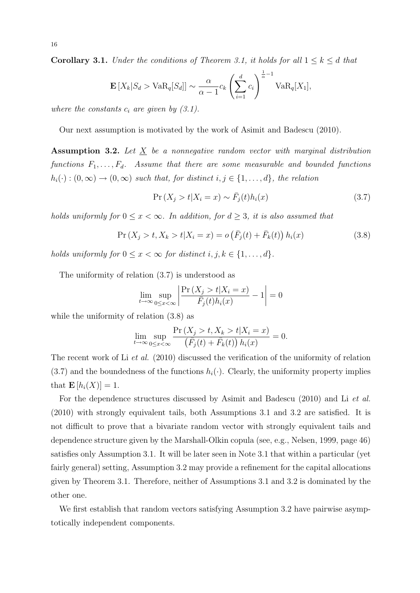**Corollary 3.1.** *Under the conditions of Theorem 3.1, it holds for all*  $1 \leq k \leq d$  *that* 

$$
\mathbf{E}\left[X_k|S_d > \text{VaR}_q[S_d]\right] \sim \frac{\alpha}{\alpha - 1} c_k \left(\sum_{i=1}^d c_i\right)^{\frac{1}{\alpha} - 1} \text{VaR}_q[X_1],
$$

*where the constants*  $c_i$  *are given by (3.1).* 

Our next assumption is motivated by the work of Asimit and Badescu (2010).

**Assumption 3.2.** *Let X be a nonnegative random vector with marginal distribution functions F*1*, . . . , Fd. Assume that there are some measurable and bounded functions*  $h_i(\cdot) : (0, \infty) \to (0, \infty)$  *such that, for distinct*  $i, j \in \{1, \ldots, d\}$ *, the relation* 

$$
\Pr\left(X_j > t | X_i = x\right) \sim \bar{F}_j(t) h_i(x) \tag{3.7}
$$

*holds uniformly for*  $0 \leq x < \infty$ *. In addition, for*  $d \geq 3$ *, it is also assumed that* 

$$
\Pr(X_j > t, X_k > t | X_i = x) = o\left(\bar{F}_j(t) + \bar{F}_k(t)\right) h_i(x) \tag{3.8}
$$

*holds uniformly for*  $0 \leq x < \infty$  *for distinct*  $i, j, k \in \{1, \ldots, d\}$ *.* 

The uniformity of relation (3.7) is understood as

$$
\lim_{t \to \infty} \sup_{0 \le x < \infty} \left| \frac{\Pr\left(X_j > t | X_i = x\right)}{\bar{F}_j(t) h_i(x)} - 1 \right| = 0
$$

while the uniformity of relation  $(3.8)$  as

$$
\lim_{t \to \infty} \sup_{0 \le x < \infty} \frac{\Pr\left(X_j > t, X_k > t | X_i = x\right)}{\left(\bar{F}_j(t) + \bar{F}_k(t)\right) h_i(x)} = 0.
$$

The recent work of Li *et al.* (2010) discussed the verification of the uniformity of relation  $(3.7)$  and the boundedness of the functions  $h_i(\cdot)$ . Clearly, the uniformity property implies that  $\mathbf{E}[h_i(X)] = 1$ .

For the dependence structures discussed by Asimit and Badescu (2010) and Li *et al.* (2010) with strongly equivalent tails, both Assumptions 3.1 and 3.2 are satisfied. It is not difficult to prove that a bivariate random vector with strongly equivalent tails and dependence structure given by the Marshall-Olkin copula (see, e.g., Nelsen, 1999, page 46) satisfies only Assumption 3.1. It will be later seen in Note 3.1 that within a particular (yet fairly general) setting, Assumption 3.2 may provide a refinement for the capital allocations given by Theorem 3.1. Therefore, neither of Assumptions 3.1 and 3.2 is dominated by the other one.

We first establish that random vectors satisfying Assumption 3.2 have pairwise asymptotically independent components.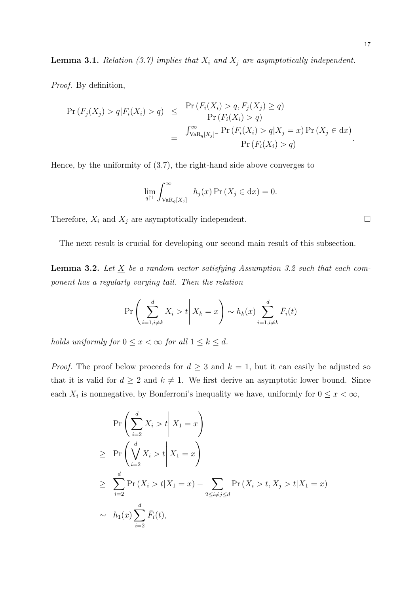**Lemma 3.1.** *Relation (3.7) implies that*  $X_i$  *and*  $X_j$  *are asymptotically independent.* 

*Proof.* By definition,

$$
\Pr(F_j(X_j) > q | F_i(X_i) > q) \leq \frac{\Pr(F_i(X_i) > q, F_j(X_j) \geq q)}{\Pr(F_i(X_i) > q)} \\
= \frac{\int_{\text{VaR}_q[X_j]}^{\infty} \Pr(F_i(X_i) > q | X_j = x) \Pr(X_j \in dx)}{\Pr(F_i(X_i) > q)}.
$$

Hence, by the uniformity of (3.7), the right-hand side above converges to

$$
\lim_{q \uparrow 1} \int_{\text{VaR}_q[X_j]^-}^{\infty} h_j(x) \Pr\left(X_j \in \text{d}x\right) = 0.
$$

Therefore,  $X_i$  and  $X_j$  are asymptotically independent.  $\Box$ 

The next result is crucial for developing our second main result of this subsection.

**Lemma 3.2.** Let  $\underline{X}$  be a random vector satisfying Assumption 3.2 such that each com*ponent has a regularly varying tail. Then the relation*

$$
\Pr\left(\sum_{i=1, i\neq k}^{d} X_i > t \middle| X_k = x\right) \sim h_k(x) \sum_{i=1, i\neq k}^{d} \bar{F}_i(t)
$$

*holds uniformly for*  $0 \leq x < \infty$  *for all*  $1 \leq k \leq d$ *.* 

*Proof.* The proof below proceeds for  $d \geq 3$  and  $k = 1$ , but it can easily be adjusted so that it is valid for  $d \geq 2$  and  $k \neq 1$ . We first derive an asymptotic lower bound. Since each  $X_i$  is nonnegative, by Bonferroni's inequality we have, uniformly for  $0 \leq x < \infty$ ,

$$
\Pr\left(\sum_{i=2}^{d} X_i > t \middle| X_1 = x\right)
$$
\n
$$
\geq \Pr\left(\bigvee_{i=2}^{d} X_i > t \middle| X_1 = x\right)
$$
\n
$$
\geq \sum_{i=2}^{d} \Pr\left(X_i > t | X_1 = x\right) - \sum_{2 \leq i \neq j \leq d} \Pr\left(X_i > t, X_j > t | X_1 = x\right)
$$
\n
$$
\sim h_1(x) \sum_{i=2}^{d} \bar{F}_i(t),
$$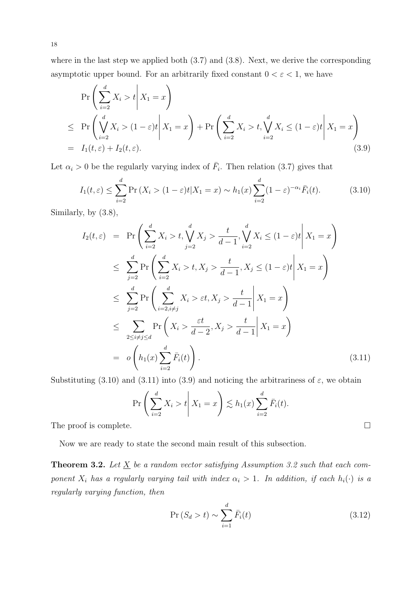where in the last step we applied both  $(3.7)$  and  $(3.8)$ . Next, we derive the corresponding asymptotic upper bound. For an arbitrarily fixed constant  $0 < \varepsilon < 1$ , we have

$$
\Pr\left(\sum_{i=2}^{d} X_i > t \middle| X_1 = x\right)
$$
\n
$$
\leq \Pr\left(\bigvee_{i=2}^{d} X_i > (1-\varepsilon)t \middle| X_1 = x\right) + \Pr\left(\sum_{i=2}^{d} X_i > t, \bigvee_{i=2}^{d} X_i \leq (1-\varepsilon)t \middle| X_1 = x\right)
$$
\n
$$
= I_1(t,\varepsilon) + I_2(t,\varepsilon). \tag{3.9}
$$

Let  $\alpha_i > 0$  be the regularly varying index of  $\bar{F}_i$ . Then relation (3.7) gives that

$$
I_1(t,\varepsilon) \le \sum_{i=2}^d \Pr\left(X_i > (1-\varepsilon)t | X_1 = x\right) \sim h_1(x) \sum_{i=2}^d (1-\varepsilon)^{-\alpha_i} \bar{F}_i(t). \tag{3.10}
$$

Similarly, by (3.8),

$$
I_2(t,\varepsilon) = \Pr\left(\sum_{i=2}^d X_i > t, \sqrt{\sum_{j=2}^d X_j} > \frac{t}{d-1}, \sqrt{\sum_{i=2}^d X_i} \le (1-\varepsilon)t \middle| X_1 = x\right)
$$
  
\n
$$
\le \sum_{j=2}^d \Pr\left(\sum_{i=2}^d X_i > t, X_j > \frac{t}{d-1}, X_j \le (1-\varepsilon)t \middle| X_1 = x\right)
$$
  
\n
$$
\le \sum_{j=2}^d \Pr\left(\sum_{i=2, i\neq j}^d X_i > \varepsilon t, X_j > \frac{t}{d-1} \middle| X_1 = x\right)
$$
  
\n
$$
\le \sum_{2 \le i\neq j \le d} \Pr\left(X_i > \frac{\varepsilon t}{d-2}, X_j > \frac{t}{d-1} \middle| X_1 = x\right)
$$
  
\n
$$
= o\left(h_1(x) \sum_{i=2}^d \bar{F}_i(t)\right).
$$
\n(3.11)

Substituting (3.10) and (3.11) into (3.9) and noticing the arbitrariness of  $\varepsilon$ , we obtain

$$
\Pr\left(\left.\sum_{i=2}^d X_i > t\right| X_1 = x\right) \lesssim h_1(x) \sum_{i=2}^d \bar{F}_i(t).
$$

The proof is complete.  $\Box$ 

Now we are ready to state the second main result of this subsection.

**Theorem 3.2.** Let  $\underline{X}$  be a random vector satisfying Assumption 3.2 such that each com*ponent*  $X_i$  *has a regularly varying tail with index*  $\alpha_i > 1$ *. In addition, if each*  $h_i(\cdot)$  *is a regularly varying function, then*

$$
\Pr(S_d > t) \sim \sum_{i=1}^d \bar{F}_i(t) \tag{3.12}
$$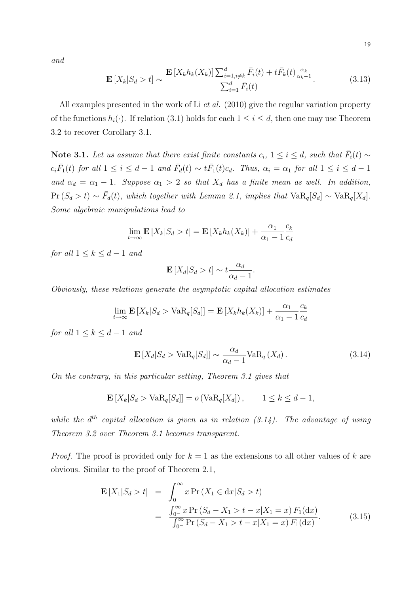*and*

$$
\mathbf{E}\left[X_k|S_d > t\right] \sim \frac{\mathbf{E}\left[X_k h_k(X_k)\right] \sum_{i=1, i \neq k}^d \bar{F}_i(t) + t \bar{F}_k(t) \frac{\alpha_k}{\alpha_k - 1}}{\sum_{i=1}^d \bar{F}_i(t)}.\tag{3.13}
$$

All examples presented in the work of Li *et al.* (2010) give the regular variation property of the functions  $h_i(\cdot)$ . If relation (3.1) holds for each  $1 \leq i \leq d$ , then one may use Theorem 3.2 to recover Corollary 3.1.

**Note 3.1.** *Let us assume that there exist finite constants*  $c_i$ ,  $1 \leq i \leq d$ , such that  $\overline{F}_i(t) \sim$  $c_i\overline{F}_1(t)$  for all  $1 \leq i \leq d-1$  and  $\overline{F}_d(t) \sim t\overline{F}_1(t)c_d$ . Thus,  $\alpha_i = \alpha_1$  for all  $1 \leq i \leq d-1$ *and*  $\alpha_d = \alpha_1 - 1$ *. Suppose*  $\alpha_1 > 2$  *so that*  $X_d$  *has a finite mean as well. In addition,*  $Pr(S_d > t) \sim \bar{F}_d(t)$ , which together with Lemma 2.1, implies that  $VaR_q[S_d] \sim VaR_q[X_d]$ . *Some algebraic manipulations lead to*

$$
\lim_{t \to \infty} \mathbf{E}\left[X_k | S_d > t\right] = \mathbf{E}\left[X_k h_k(X_k)\right] + \frac{\alpha_1}{\alpha_1 - 1} \frac{c_k}{c_d}
$$

*for all*  $1 \leq k \leq d-1$  *and* 

$$
\mathbf{E}\left[X_d|S_d>t\right] \sim t\frac{\alpha_d}{\alpha_d-1}.
$$

*Obviously, these relations generate the asymptotic capital allocation estimates*

$$
\lim_{t \to \infty} \mathbf{E}\left[X_k | S_d > \text{VaR}_q[S_d]\right] = \mathbf{E}\left[X_k h_k(X_k)\right] + \frac{\alpha_1}{\alpha_1 - 1} \frac{c_k}{c_d}
$$

*for all*  $1 \leq k \leq d-1$  *and* 

$$
\mathbf{E}\left[X_d|S_d > \text{VaR}_q[S_d]\right] \sim \frac{\alpha_d}{\alpha_d - 1} \text{VaR}_q\left(X_d\right). \tag{3.14}
$$

*On the contrary, in this particular setting, Theorem 3.1 gives that*

$$
\mathbf{E}\left[X_k|S_d > \text{VaR}_q[S_d]\right] = o\left(\text{VaR}_q[X_d]\right), \qquad 1 \le k \le d-1,
$$

*while the*  $d^{th}$  *capital allocation is given as in relation (3.14). The advantage of using Theorem 3.2 over Theorem 3.1 becomes transparent.*

*Proof.* The proof is provided only for *k* = 1 as the extensions to all other values of *k* are obvious. Similar to the proof of Theorem 2.1,

$$
\mathbf{E}\left[X_1|S_d > t\right] = \int_{0^-}^{\infty} x \Pr\left(X_1 \in dx | S_d > t\right)
$$
\n
$$
= \frac{\int_{0^-}^{\infty} x \Pr\left(S_d - X_1 > t - x | X_1 = x\right) F_1(\mathrm{d}x)}{\int_{0^-}^{\infty} \Pr\left(S_d - X_1 > t - x | X_1 = x\right) F_1(\mathrm{d}x)}.\tag{3.15}
$$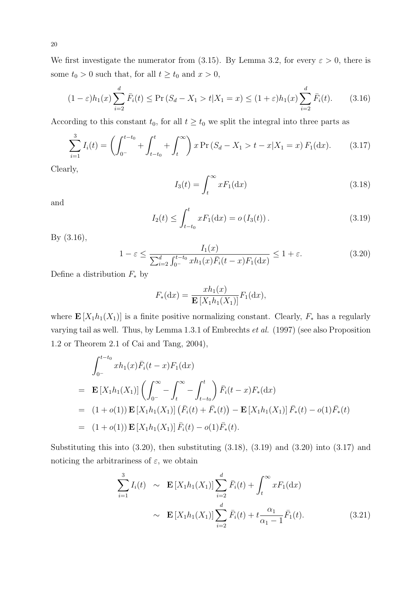We first investigate the numerator from (3.15). By Lemma 3.2, for every  $\varepsilon > 0$ , there is some  $t_0 > 0$  such that, for all  $t \ge t_0$  and  $x > 0$ ,

$$
(1 - \varepsilon)h_1(x) \sum_{i=2}^d \bar{F}_i(t) \le \Pr\left(S_d - X_1 > t | X_1 = x\right) \le (1 + \varepsilon)h_1(x) \sum_{i=2}^d \bar{F}_i(t). \tag{3.16}
$$

According to this constant  $t_0$ , for all  $t \geq t_0$  we split the integral into three parts as

$$
\sum_{i=1}^{3} I_i(t) = \left( \int_{0^-}^{t-t_0} + \int_{t-t_0}^t + \int_t^{\infty} \right) x \Pr\left(S_d - X_1 > t - x | X_1 = x\right) F_1(\mathrm{d}x). \tag{3.17}
$$

Clearly,

$$
I_3(t) = \int_t^\infty x F_1(\mathrm{d}x) \tag{3.18}
$$

and

$$
I_2(t) \le \int_{t-t_0}^t x F_1(\mathrm{d}x) = o\left(I_3(t)\right). \tag{3.19}
$$

By (3.16),

$$
1 - \varepsilon \le \frac{I_1(x)}{\sum_{i=2}^d \int_{0^-}^{t-t_0} x h_1(x) \bar{F}_i(t-x) F_1(\mathrm{d}x)} \le 1 + \varepsilon. \tag{3.20}
$$

Define a distribution *F<sup>∗</sup>* by

$$
F_*(dx) = \frac{xh_1(x)}{\mathbf{E}\left[X_1h_1(X_1)\right]}F_1(\mathrm{d}x),
$$

where  $\mathbf{E}[X_1h_1(X_1)]$  is a finite positive normalizing constant. Clearly,  $F_*$  has a regularly varying tail as well. Thus, by Lemma 1.3.1 of Embrechts *et al.* (1997) (see also Proposition 1.2 or Theorem 2.1 of Cai and Tang, 2004),

$$
\int_{0^{-}}^{t-t_0} x h_1(x) \bar{F}_i(t-x) F_1(\mathrm{d}x)
$$
\n
$$
= \mathbf{E} \left[ X_1 h_1(X_1) \right] \left( \int_{0^{-}}^{\infty} - \int_t^{\infty} - \int_{t-t_0}^t \right) \bar{F}_i(t-x) F_*(\mathrm{d}x)
$$
\n
$$
= (1+o(1)) \mathbf{E} \left[ X_1 h_1(X_1) \right] \left( \bar{F}_i(t) + \bar{F}_*(t) \right) - \mathbf{E} \left[ X_1 h_1(X_1) \right] \bar{F}_*(t) - o(1) \bar{F}_*(t)
$$
\n
$$
= (1+o(1)) \mathbf{E} \left[ X_1 h_1(X_1) \right] \bar{F}_i(t) - o(1) \bar{F}_*(t).
$$

Substituting this into  $(3.20)$ , then substituting  $(3.18)$ ,  $(3.19)$  and  $(3.20)$  into  $(3.17)$  and noticing the arbitrariness of  $\varepsilon$ , we obtain

$$
\sum_{i=1}^{3} I_i(t) \sim \mathbf{E}\left[X_1 h_1(X_1)\right] \sum_{i=2}^{d} \bar{F}_i(t) + \int_t^{\infty} x F_1(\mathrm{d}x)
$$

$$
\sim \mathbf{E}\left[X_1 h_1(X_1)\right] \sum_{i=2}^{d} \bar{F}_i(t) + t \frac{\alpha_1}{\alpha_1 - 1} \bar{F}_1(t). \tag{3.21}
$$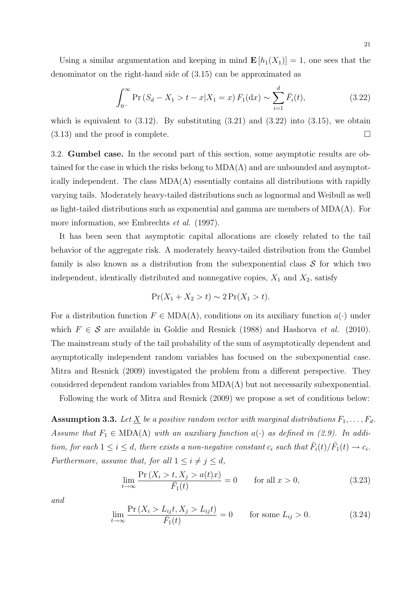Using a similar argumentation and keeping in mind  $\mathbf{E}[h_1(X_1)] = 1$ , one sees that the denominator on the right-hand side of (3.15) can be approximated as

$$
\int_{0^{-}}^{\infty} \Pr\left(S_d - X_1 > t - x | X_1 = x\right) F_1(\mathrm{d}x) \sim \sum_{i=1}^{d} \bar{F}_i(t),\tag{3.22}
$$

which is equivalent to  $(3.12)$ . By substituting  $(3.21)$  and  $(3.22)$  into  $(3.15)$ , we obtain  $(3.13)$  and the proof is complete.

3.2. **Gumbel case.** In the second part of this section, some asymptotic results are obtained for the case in which the risks belong to  $MDA(\Lambda)$  and are unbounded and asymptotically independent. The class  $MDA(\Lambda)$  essentially contains all distributions with rapidly varying tails. Moderately heavy-tailed distributions such as lognormal and Weibull as well as light-tailed distributions such as exponential and gamma are members of  $MDA(\Lambda)$ . For more information, see Embrechts *et al.* (1997).

It has been seen that asymptotic capital allocations are closely related to the tail behavior of the aggregate risk. A moderately heavy-tailed distribution from the Gumbel family is also known as a distribution from the subexponential class *S* for which two independent, identically distributed and nonnegative copies,  $X_1$  and  $X_2$ , satisfy

$$
\Pr(X_1 + X_2 > t) \sim 2 \Pr(X_1 > t).
$$

For a distribution function  $F \in MDA(\Lambda)$ , conditions on its auxiliary function  $a(\cdot)$  under which  $F \in \mathcal{S}$  are available in Goldie and Resnick (1988) and Hashorva *et al.* (2010). The mainstream study of the tail probability of the sum of asymptotically dependent and asymptotically independent random variables has focused on the subexponential case. Mitra and Resnick (2009) investigated the problem from a different perspective. They considered dependent random variables from  $MDA(\Lambda)$  but not necessarily subexponential.

Following the work of Mitra and Resnick (2009) we propose a set of conditions below:

**Assumption 3.3.** Let  $\underline{X}$  be a positive random vector with marginal distributions  $F_1, \ldots, F_d$ . *Assume that*  $F_1 \in \text{MDA}(\Lambda)$  *with an auxiliary function*  $a(\cdot)$  *as defined in (2.9). In addition, for each*  $1 \leq i \leq d$ *, there exists a non-negative constant*  $c_i$  *such that*  $\overline{F}_i(t)/\overline{F}_1(t) \to c_i$ *. Furthermore, assume that, for all*  $1 \leq i \neq j \leq d$ ,

$$
\lim_{t \to \infty} \frac{\Pr\left(X_i > t, X_j > a(t)x\right)}{\bar{F}_1(t)} = 0 \qquad \text{for all } x > 0,\tag{3.23}
$$

*and*

$$
\lim_{t \to \infty} \frac{\Pr\left(X_i > L_{ij}t, X_j > L_{ij}t\right)}{\bar{F}_1(t)} = 0 \qquad \text{for some } L_{ij} > 0. \tag{3.24}
$$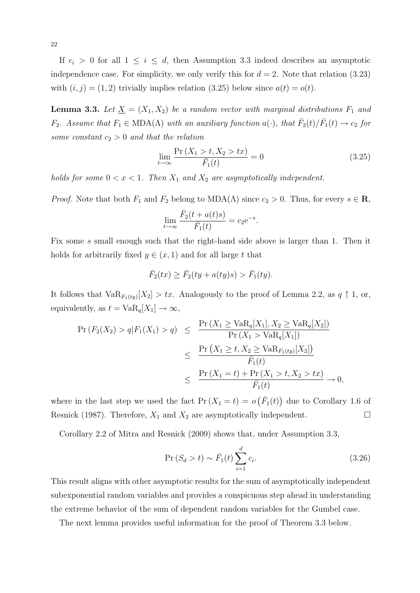If  $c_i > 0$  for all  $1 \leq i \leq d$ , then Assumption 3.3 indeed describes an asymptotic independence case. For simplicity, we only verify this for  $d = 2$ . Note that relation  $(3.23)$ with  $(i, j) = (1, 2)$  trivially implies relation  $(3.25)$  below since  $a(t) = o(t)$ .

**Lemma 3.3.** Let  $\underline{X} = (X_1, X_2)$  be a random vector with marginal distributions  $F_1$  and *F*<sub>2</sub>*.* Assume that  $F_1 \in \text{MDA}(\Lambda)$  with an auxiliary function  $a(\cdot)$ , that  $\overline{F}_2(t)/\overline{F}_1(t) \to c_2$  for *some constant c*<sup>2</sup> *>* 0 *and that the relation*

$$
\lim_{t \to \infty} \frac{\Pr\left(X_1 > t, X_2 > tx\right)}{\bar{F}_1(t)} = 0 \tag{3.25}
$$

*holds for some*  $0 < x < 1$ *. Then*  $X_1$  *and*  $X_2$  *are asymptotically independent.* 

*Proof.* Note that both  $F_1$  and  $F_2$  belong to  $MDA(\Lambda)$  since  $c_2 > 0$ . Thus, for every  $s \in \mathbb{R}$ ,

$$
\lim_{t \to \infty} \frac{\bar{F}_2(t + a(t)s)}{\bar{F}_1(t)} = c_2 e^{-s}.
$$

Fix some *s* small enough such that the right-hand side above is larger than 1. Then it holds for arbitrarily fixed  $y \in (x, 1)$  and for all large  $t$  that

$$
\overline{F}_2(tx) \ge \overline{F}_2(ty + a(ty)s) > \overline{F}_1(ty).
$$

It follows that  $\text{VaR}_{F_1(ty)}[X_2] > tx$ . Analogously to the proof of Lemma 2.2, as  $q \uparrow 1$ , or, equivalently, as  $t = \text{VaR}_q[X_1] \to \infty$ ,

$$
\begin{array}{rcl} \Pr\left(F_2(X_2) > q | F_1(X_1) > q\right) & \leq & \frac{\Pr\left(X_1 \geq \mathrm{VaR}_q[X_1], X_2 \geq \mathrm{VaR}_q[X_2]\right)}{\Pr\left(X_1 > \mathrm{VaR}_q[X_1]\right)} \\ & \leq & \frac{\Pr\left(X_1 \geq t, X_2 \geq \mathrm{VaR}_{F_1(ty)}[X_2]\right)}{\bar{F}_1(t)} \\ & \leq & \frac{\Pr\left(X_1 = t\right) + \Pr\left(X_1 > t, X_2 > tx\right)}{\bar{F}_1(t)} \to 0, \end{array}
$$

where in the last step we used the fact  $Pr(X_1 = t) = o(F_1(t))$  due to Corollary 1.6 of Resnick (1987). Therefore,  $X_1$  and  $X_2$  are asymptotically independent.  $\Box$ 

Corollary 2.2 of Mitra and Resnick (2009) shows that, under Assumption 3.3,

$$
\Pr(S_d > t) \sim \bar{F}_1(t) \sum_{i=1}^d c_i.
$$
\n(3.26)

This result aligns with other asymptotic results for the sum of asymptotically independent subexponential random variables and provides a conspicuous step ahead in understanding the extreme behavior of the sum of dependent random variables for the Gumbel case.

The next lemma provides useful information for the proof of Theorem 3.3 below.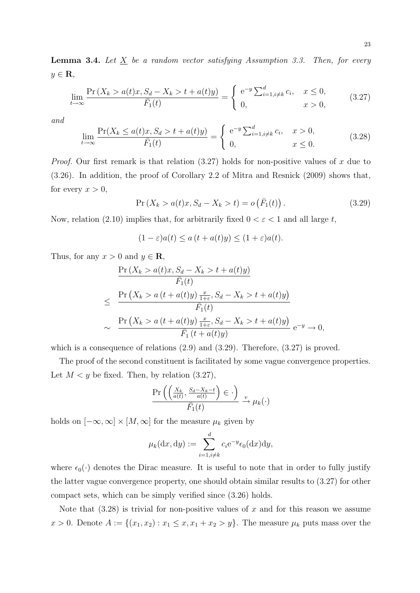$$
\lim_{t \to \infty} \frac{\Pr\left(X_k > a(t)x, S_d - X_k > t + a(t)y\right)}{\bar{F}_1(t)} = \begin{cases} e^{-y} \sum_{i=1, i \neq k}^d c_i, & x \le 0, \\ 0, & x > 0, \end{cases} \tag{3.27}
$$

*and*

$$
\lim_{t \to \infty} \frac{\Pr(X_k \le a(t)x, S_d > t + a(t)y)}{\bar{F}_1(t)} = \begin{cases} e^{-y} \sum_{i=1, i \neq k}^d c_i, & x > 0, \\ 0, & x \le 0. \end{cases} \tag{3.28}
$$

*Proof.* Our first remark is that relation (3.27) holds for non-positive values of x due to (3.26). In addition, the proof of Corollary 2.2 of Mitra and Resnick (2009) shows that, for every  $x > 0$ ,

$$
Pr(X_k > a(t)x, S_d - X_k > t) = o(\bar{F}_1(t)).
$$
\n(3.29)

Now, relation (2.10) implies that, for arbitrarily fixed  $0 < \varepsilon < 1$  and all large t,

$$
(1 - \varepsilon)a(t) \le a(t + a(t)y) \le (1 + \varepsilon)a(t).
$$

Thus, for any  $x > 0$  and  $y \in \mathbf{R}$ ,

$$
\frac{\Pr(X_k > a(t)x, S_d - X_k > t + a(t)y)}{\bar{F}_1(t)}
$$
\n
$$
\leq \frac{\Pr(X_k > a(t + a(t)y) \frac{x}{1+\varepsilon}, S_d - X_k > t + a(t)y)}{\bar{F}_1(t)}
$$
\n
$$
\sim \frac{\Pr(X_k > a(t + a(t)y) \frac{x}{1+\varepsilon}, S_d - X_k > t + a(t)y)}{\bar{F}_1(t + a(t)y)} e^{-y} \to 0,
$$

which is a consequence of relations  $(2.9)$  and  $(3.29)$ . Therefore,  $(3.27)$  is proved.

The proof of the second constituent is facilitated by some vague convergence properties. Let  $M < y$  be fixed. Then, by relation  $(3.27)$ ,

$$
\frac{\Pr\left(\left(\frac{X_k}{a(t)}, \frac{S_d - X_k - t}{a(t)}\right) \in \cdot\right)}{\bar{F}_1(t)} \xrightarrow{v} \mu_k(\cdot)
$$

holds on  $[-\infty, \infty] \times [M, \infty]$  for the measure  $\mu_k$  given by

$$
\mu_k(\mathrm{d}x, \mathrm{d}y) := \sum_{i=1, i \neq k}^d c_i e^{-y} \epsilon_0(\mathrm{d}x) \mathrm{d}y,
$$

where  $\epsilon_0(\cdot)$  denotes the Dirac measure. It is useful to note that in order to fully justify the latter vague convergence property, one should obtain similar results to (3.27) for other compact sets, which can be simply verified since (3.26) holds.

Note that (3.28) is trivial for non-positive values of *x* and for this reason we assume  $x > 0$ . Denote  $A := \{(x_1, x_2) : x_1 \leq x, x_1 + x_2 > y\}$ . The measure  $\mu_k$  puts mass over the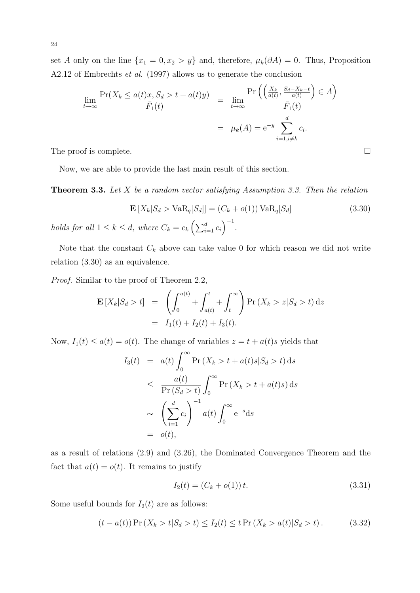24

set *A* only on the line  $\{x_1 = 0, x_2 > y\}$  and, therefore,  $\mu_k(\partial A) = 0$ . Thus, Proposition A2.12 of Embrechts *et al.* (1997) allows us to generate the conclusion

$$
\lim_{t \to \infty} \frac{\Pr(X_k \le a(t)x, S_d > t + a(t)y)}{\bar{F}_1(t)} = \lim_{t \to \infty} \frac{\Pr\left(\left(\frac{X_k}{a(t)}, \frac{S_d - X_k - t}{a(t)}\right) \in A\right)}{\bar{F}_1(t)}
$$
\n
$$
= \mu_k(A) = e^{-y} \sum_{i=1, i \neq k}^d c_i.
$$

The proof is complete.  $\Box$ 

Now, we are able to provide the last main result of this section.

**Theorem 3.3.** Let  $\underline{X}$  be a random vector satisfying Assumption 3.3. Then the relation

$$
\mathbf{E}\left[X_k|S_d > \text{VaR}_q[S_d]\right] = (C_k + o(1))\text{VaR}_q[S_d] \tag{3.30}
$$

*holds for all*  $1 \leq k \leq d$ *, where*  $C_k = c_k \left( \sum_{i=1}^d c_i \right)^{-1}$ .

Note that the constant  $C_k$  above can take value 0 for which reason we did not write relation (3.30) as an equivalence.

*Proof.* Similar to the proof of Theorem 2.2,

$$
\mathbf{E}\left[X_k|S_d > t\right] = \left(\int_0^{a(t)} + \int_{a(t)}^t + \int_t^{\infty}\right) \Pr\left(X_k > z | S_d > t\right) dz
$$
  
=  $I_1(t) + I_2(t) + I_3(t).$ 

Now,  $I_1(t) \leq a(t) = o(t)$ . The change of variables  $z = t + a(t)s$  yields that

$$
I_3(t) = a(t) \int_0^\infty \Pr(X_k > t + a(t)s|S_d > t) ds
$$
  
\n
$$
\leq \frac{a(t)}{\Pr(S_d > t)} \int_0^\infty \Pr(X_k > t + a(t)s) ds
$$
  
\n
$$
\sim \left(\sum_{i=1}^d c_i\right)^{-1} a(t) \int_0^\infty e^{-s} ds
$$
  
\n
$$
= o(t),
$$

as a result of relations (2.9) and (3.26), the Dominated Convergence Theorem and the fact that  $a(t) = o(t)$ . It remains to justify

$$
I_2(t) = (C_k + o(1)) t.
$$
\n(3.31)

Some useful bounds for  $I_2(t)$  are as follows:

$$
(t - a(t)) \Pr(X_k > t | S_d > t) \le I_2(t) \le t \Pr(X_k > a(t) | S_d > t). \tag{3.32}
$$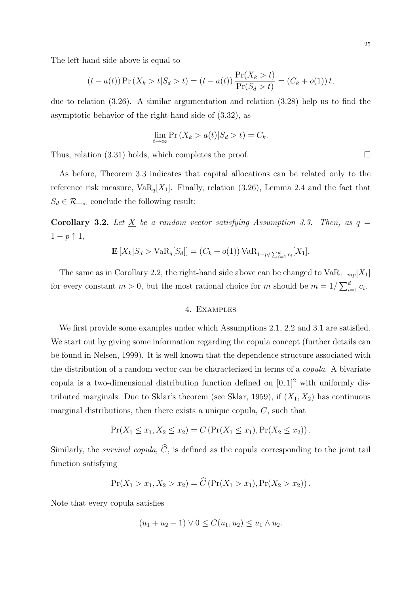The left-hand side above is equal to

$$
(t - a(t)) \Pr(X_k > t | S_d > t) = (t - a(t)) \frac{\Pr(X_k > t)}{\Pr(S_d > t)} = (C_k + o(1)) t,
$$

due to relation (3.26). A similar argumentation and relation (3.28) help us to find the asymptotic behavior of the right-hand side of (3.32), as

$$
\lim_{t \to \infty} \Pr\left(X_k > a(t) | S_d > t\right) = C_k.
$$

Thus, relation (3.31) holds, which completes the proof.  $\Box$ 

As before, Theorem 3.3 indicates that capital allocations can be related only to the reference risk measure,  $VaR_q[X_1]$ . Finally, relation (3.26), Lemma 2.4 and the fact that  $S_d \in \mathcal{R}_{-\infty}$  conclude the following result:

**Corollary 3.2.** Let  $\underline{X}$  be a random vector satisfying Assumption 3.3. Then, as  $q =$ 1 *− p ↑* 1*,*

$$
\mathbf{E}[X_k|S_d > \text{VaR}_q[S_d]] = (C_k + o(1)) \text{VaR}_{1-p/\sum_{i=1}^d c_i}[X_1].
$$

The same as in Corollary 2.2, the right-hand side above can be changed to  $VaR_{1-mp}[X_1]$ for every constant  $m > 0$ , but the most rational choice for  $m$  should be  $m = 1/\sum_{i=1}^{d} c_i$ .

#### 4. Examples

We first provide some examples under which Assumptions 2.1, 2.2 and 3.1 are satisfied. We start out by giving some information regarding the copula concept (further details can be found in Nelsen, 1999). It is well known that the dependence structure associated with the distribution of a random vector can be characterized in terms of a *copula*. A bivariate copula is a two-dimensional distribution function defined on  $[0, 1]^2$  with uniformly distributed marginals. Due to Sklar's theorem (see Sklar, 1959), if  $(X_1, X_2)$  has continuous marginal distributions, then there exists a unique copula, *C*, such that

$$
Pr(X_1 \le x_1, X_2 \le x_2) = C \left( Pr(X_1 \le x_1), Pr(X_2 \le x_2) \right).
$$

Similarly, the *survival copula*,  $\hat{C}$ , is defined as the copula corresponding to the joint tail function satisfying

$$
Pr(X_1 > x_1, X_2 > x_2) = \widehat{C} \left( Pr(X_1 > x_1), Pr(X_2 > x_2) \right).
$$

Note that every copula satisfies

$$
(u_1 + u_2 - 1) \vee 0 \le C(u_1, u_2) \le u_1 \wedge u_2.
$$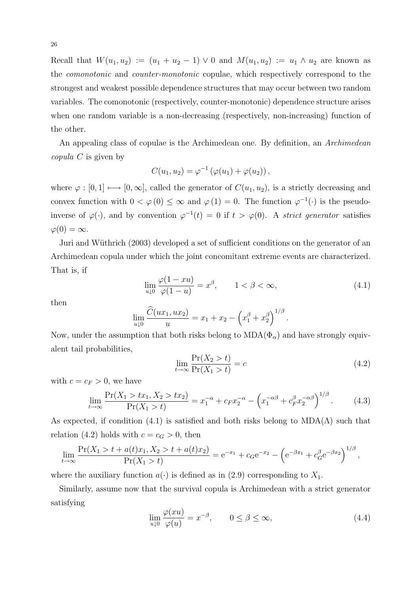Recall that  $W(u_1, u_2) := (u_1 + u_2 - 1) \vee 0$  and  $M(u_1, u_2) := u_1 \wedge u_2$  are known as the *comonotonic* and *counter-monotonic* copulae, which respectively correspond to the strongest and weakest possible dependence structures that may occur between two random variables. The comonotonic (respectively, counter-monotonic) dependence structure arises when one random variable is a non-decreasing (respectively, non-increasing) function of the other.

An appealing class of copulae is the Archimedean one. By definition, an *Archimedean copula C* is given by

$$
C(u_1, u_2) = \varphi^{-1} (\varphi(u_1) + \varphi(u_2)),
$$

where  $\varphi : [0,1] \longmapsto [0,\infty]$ , called the generator of  $C(u_1, u_2)$ , is a strictly decreasing and convex function with  $0 < \varphi(0) \leq \infty$  and  $\varphi(1) = 0$ . The function  $\varphi^{-1}(\cdot)$  is the pseudoinverse of  $\varphi(\cdot)$ , and by convention  $\varphi^{-1}(t) = 0$  if  $t > \varphi(0)$ . A *strict generator* satisfies  $\varphi(0) = \infty$ .

Juri and Wüthrich (2003) developed a set of sufficient conditions on the generator of an Archimedean copula under which the joint concomitant extreme events are characterized. That is, if

$$
\lim_{u \downarrow 0} \frac{\varphi(1 - xu)}{\varphi(1 - u)} = x^{\beta}, \qquad 1 < \beta < \infty,\tag{4.1}
$$

then

$$
\lim_{u \downarrow 0} \frac{\widehat{C}(ux_1, ux_2)}{u} = x_1 + x_2 - \left(x_1^{\beta} + x_2^{\beta}\right)^{1/\beta}.
$$

Now, under the assumption that both risks belong to  $MDA(\Phi_{\alpha})$  and have strongly equivalent tail probabilities,

$$
\lim_{t \to \infty} \frac{\Pr(X_2 > t)}{\Pr(X_1 > t)} = c \tag{4.2}
$$

with  $c = c_F > 0$ , we have

$$
\lim_{t \to \infty} \frac{\Pr(X_1 > tx_1, X_2 > tx_2)}{\Pr(X_1 > t)} = x_1^{-\alpha} + c_F x_2^{-\alpha} - \left(x_1^{-\alpha\beta} + c_F^{\beta} x_2^{-\alpha\beta}\right)^{1/\beta}.\tag{4.3}
$$

As expected, if condition (4.1) is satisfied and both risks belong to  $MDA(\Lambda)$  such that relation (4.2) holds with  $c = c_G > 0$ , then

$$
\lim_{t \to \infty} \frac{\Pr(X_1 > t + a(t)x_1, X_2 > t + a(t)x_2)}{\Pr(X_1 > t)} = e^{-x_1} + c_6 e^{-x_2} - \left(e^{-\beta x_1} + c_6^{\beta} e^{-\beta x_2}\right)^{1/\beta},
$$

where the auxiliary function  $a(\cdot)$  is defined as in (2.9) corresponding to  $X_1$ .

Similarly, assume now that the survival copula is Archimedean with a strict generator satisfying

$$
\lim_{u \downarrow 0} \frac{\varphi(xu)}{\varphi(u)} = x^{-\beta}, \qquad 0 \le \beta \le \infty,
$$
\n(4.4)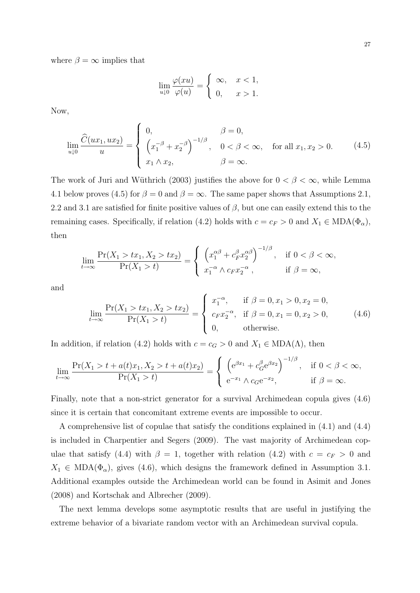where  $\beta = \infty$  implies that

$$
\lim_{u \downarrow 0} \frac{\varphi(xu)}{\varphi(u)} = \begin{cases} \infty, & x < 1, \\ 0, & x > 1. \end{cases}
$$

Now,

$$
\lim_{u \downarrow 0} \frac{\widehat{C}(ux_1, ux_2)}{u} = \begin{cases} 0, & \beta = 0, \\ \left(x_1^{-\beta} + x_2^{-\beta}\right)^{-1/\beta}, & 0 < \beta < \infty, \\ x_1 \wedge x_2, & \beta = \infty. \end{cases} \quad \text{for all } x_1, x_2 > 0. \tag{4.5}
$$

The work of Juri and Wüthrich (2003) justifies the above for  $0 < \beta < \infty$ , while Lemma 4.1 below proves (4.5) for  $\beta = 0$  and  $\beta = \infty$ . The same paper shows that Assumptions 2.1, 2.2 and 3.1 are satisfied for finite positive values of *β*, but one can easily extend this to the remaining cases. Specifically, if relation (4.2) holds with  $c = c_F > 0$  and  $X_1 \in MDA(\Phi_\alpha)$ , then

$$
\lim_{t \to \infty} \frac{\Pr(X_1 > tx_1, X_2 > tx_2)}{\Pr(X_1 > t)} = \begin{cases} \left( x_1^{\alpha \beta} + c_F^{\beta} x_2^{\alpha \beta} \right)^{-1/\beta}, & \text{if } 0 < \beta < \infty, \\ x_1^{-\alpha} \wedge c_F x_2^{-\alpha}, & \text{if } \beta = \infty, \end{cases}
$$

and

$$
\lim_{t \to \infty} \frac{\Pr(X_1 > tx_1, X_2 > tx_2)}{\Pr(X_1 > t)} = \begin{cases} x_1^{-\alpha}, & \text{if } \beta = 0, x_1 > 0, x_2 = 0, \\ c_F x_2^{-\alpha}, & \text{if } \beta = 0, x_1 = 0, x_2 > 0, \\ 0, & \text{otherwise.} \end{cases} \tag{4.6}
$$

In addition, if relation (4.2) holds with  $c = c_G > 0$  and  $X_1 \in MDA(\Lambda)$ , then

$$
\lim_{t \to \infty} \frac{\Pr(X_1 > t + a(t)x_1, X_2 > t + a(t)x_2)}{\Pr(X_1 > t)} = \begin{cases} \left( e^{\beta x_1} + c_G^{\beta} e^{\beta x_2} \right)^{-1/\beta}, & \text{if } 0 < \beta < \infty, \\ e^{-x_1} \wedge c_G e^{-x_2}, & \text{if } \beta = \infty. \end{cases}
$$

Finally, note that a non-strict generator for a survival Archimedean copula gives (4.6) since it is certain that concomitant extreme events are impossible to occur.

A comprehensive list of copulae that satisfy the conditions explained in (4.1) and (4.4) is included in Charpentier and Segers (2009). The vast majority of Archimedean copulae that satisfy (4.4) with  $\beta = 1$ , together with relation (4.2) with  $c = c_F > 0$  and  $X_1 \in MDA(\Phi_\alpha)$ , gives (4.6), which designs the framework defined in Assumption 3.1. Additional examples outside the Archimedean world can be found in Asimit and Jones (2008) and Kortschak and Albrecher (2009).

The next lemma develops some asymptotic results that are useful in justifying the extreme behavior of a bivariate random vector with an Archimedean survival copula.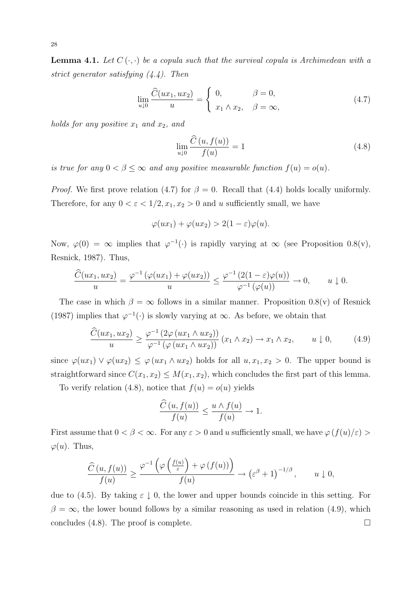**Lemma 4.1.** Let  $C(\cdot, \cdot)$  be a copula such that the survival copula is Archimedean with a *strict generator satisfying (4.4). Then*

$$
\lim_{u \downarrow 0} \frac{\widehat{C}(ux_1, ux_2)}{u} = \begin{cases} 0, & \beta = 0, \\ x_1 \wedge x_2, & \beta = \infty, \end{cases}
$$
\n(4.7)

*holds for any positive x*<sup>1</sup> *and x*2*, and*

$$
\lim_{u \downarrow 0} \frac{\widehat{C}(u, f(u))}{f(u)} = 1 \tag{4.8}
$$

*is true for any*  $0 < \beta \leq \infty$  *and any positive measurable function*  $f(u) = o(u)$ *.* 

*Proof.* We first prove relation (4.7) for  $\beta = 0$ . Recall that (4.4) holds locally uniformly. Therefore, for any  $0 < \varepsilon < 1/2, x_1, x_2 > 0$  and *u* sufficiently small, we have

$$
\varphi(ux_1) + \varphi(ux_2) > 2(1 - \varepsilon)\varphi(u).
$$

Now,  $\varphi(0) = \infty$  implies that  $\varphi^{-1}(\cdot)$  is rapidly varying at  $\infty$  (see Proposition 0.8(v), Resnick, 1987). Thus,

$$
\frac{\widehat{C}(ux_1, ux_2)}{u} = \frac{\varphi^{-1}(\varphi(ux_1) + \varphi(ux_2))}{u} \le \frac{\varphi^{-1}(2(1-\varepsilon)\varphi(u))}{\varphi^{-1}(\varphi(u))} \to 0, \qquad u \downarrow 0.
$$

The case in which  $\beta = \infty$  follows in a similar manner. Proposition 0.8(v) of Resnick (1987) implies that  $\varphi^{-1}(\cdot)$  is slowly varying at  $\infty$ . As before, we obtain that

$$
\frac{\widehat{C}(ux_1, ux_2)}{u} \ge \frac{\varphi^{-1}\left(2\varphi\left(ux_1 \wedge ux_2\right)\right)}{\varphi^{-1}\left(\varphi\left(ux_1 \wedge ux_2\right)\right)}\left(x_1 \wedge x_2\right) \to x_1 \wedge x_2, \qquad u \downarrow 0,\tag{4.9}
$$

since  $\varphi(ux_1) \vee \varphi(ux_2) \leq \varphi(ux_1 \wedge ux_2)$  holds for all  $u, x_1, x_2 > 0$ . The upper bound is straightforward since  $C(x_1, x_2) \leq M(x_1, x_2)$ , which concludes the first part of this lemma.

To verify relation (4.8), notice that  $f(u) = o(u)$  yields

$$
\frac{\widehat{C}(u, f(u))}{f(u)} \le \frac{u \wedge f(u)}{f(u)} \to 1.
$$

First assume that  $0 < \beta < \infty$ . For any  $\varepsilon > 0$  and *u* sufficiently small, we have  $\varphi(f(u)/\varepsilon) >$  $\varphi(u)$ . Thus,

$$
\frac{\widehat{C}(u,f(u))}{f(u)} \ge \frac{\varphi^{-1}\left(\varphi\left(\frac{f(u)}{\varepsilon}\right) + \varphi\left(f(u)\right)\right)}{f(u)} \to \left(\varepsilon^{\beta} + 1\right)^{-1/\beta}, \qquad u \downarrow 0,
$$

due to (4.5). By taking  $\varepsilon \downarrow 0$ , the lower and upper bounds coincide in this setting. For  $\beta = \infty$ , the lower bound follows by a similar reasoning as used in relation (4.9), which concludes (4.8). The proof is complete.  $\Box$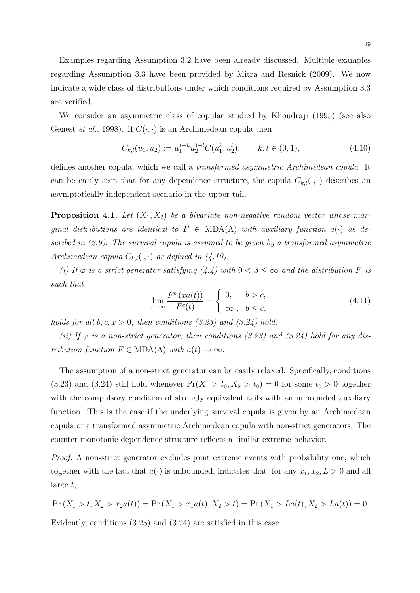Examples regarding Assumption 3.2 have been already discussed. Multiple examples regarding Assumption 3.3 have been provided by Mitra and Resnick (2009). We now indicate a wide class of distributions under which conditions required by Assumption 3.3 are verified.

We consider an asymmetric class of copulae studied by Khoudraji (1995) (see also Genest *et al.*, 1998). If  $C(\cdot, \cdot)$  is an Archimedean copula then

$$
C_{k,l}(u_1, u_2) := u_1^{1-k} u_2^{1-l} C(u_1^k, u_2^l), \qquad k, l \in (0, 1), \tag{4.10}
$$

defines another copula, which we call a *transformed asymmetric Archimedean copula*. It can be easily seen that for any dependence structure, the copula  $C_{k,l}(\cdot,\cdot)$  describes an asymptotically independent scenario in the upper tail.

**Proposition 4.1.** Let  $(X_1, X_2)$  be a bivariate non-negative random vector whose mar*ginal distributions are identical to*  $F \in \text{MDA}(\Lambda)$  *with auxiliary function*  $a(\cdot)$  *as described in (2.9). The survival copula is assumed to be given by a transformed asymmetric Archimedean copula*  $C_{k,l}(\cdot, \cdot)$  *as defined in (4.10).* 

*(i)* If  $\varphi$  *is a strict generator satisfying* (4.4) with  $0 < \beta \leq \infty$  *and the distribution F is such that*

$$
\lim_{t \to \infty} \frac{\bar{F}^b\left(xa(t)\right)}{\bar{F}^c(t)} = \begin{cases} 0, & b > c, \\ \infty, & b \le c, \end{cases}
$$
\n(4.11)

*holds for all*  $b, c, x > 0$ *, then conditions (3.23) and (3.24) hold.* 

(*ii*) If  $\varphi$  *is a non-strict generator, then conditions (3.23) and (3.24) hold for any distribution function*  $F \in MDA(\Lambda)$  *with*  $a(t) \to \infty$ .

The assumption of a non-strict generator can be easily relaxed. Specifically, conditions (3.23) and (3.24) still hold whenever  $Pr(X_1 > t_0, X_2 > t_0) = 0$  for some  $t_0 > 0$  together with the compulsory condition of strongly equivalent tails with an unbounded auxiliary function. This is the case if the underlying survival copula is given by an Archimedean copula or a transformed asymmetric Archimedean copula with non-strict generators. The counter-monotonic dependence structure reflects a similar extreme behavior.

*Proof.* A non-strict generator excludes joint extreme events with probability one, which together with the fact that  $a(\cdot)$  is unbounded, indicates that, for any  $x_1, x_2, L > 0$  and all large *t*,

$$
\Pr(X_1 > t, X_2 > x_2 a(t)) = \Pr(X_1 > x_1 a(t), X_2 > t) = \Pr(X_1 > La(t), X_2 > La(t)) = 0.
$$

Evidently, conditions (3.23) and (3.24) are satisfied in this case.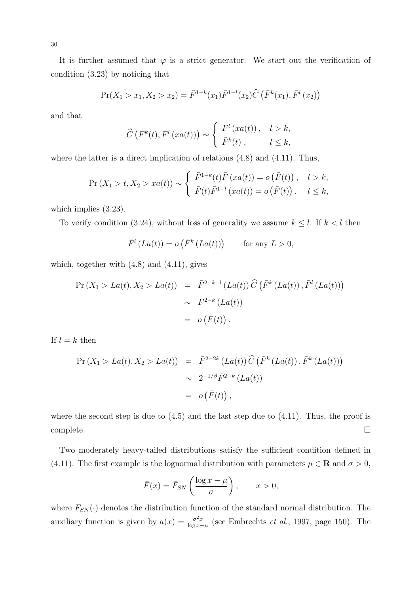It is further assumed that  $\varphi$  is a strict generator. We start out the verification of condition (3.23) by noticing that

$$
\Pr(X_1 > x_1, X_2 > x_2) = \bar{F}^{1-k}(x_1) \bar{F}^{1-l}(x_2) \widehat{C} \left( \bar{F}^k(x_1), \bar{F}^l(x_2) \right)
$$

and that

$$
\widehat{C}\left(\bar{F}^k(t),\bar{F}^l\left(xa(t)\right)\right) \sim \begin{cases} \bar{F}^l\left(xa(t)\right), & l > k, \\ \bar{F}^k(t), & l \leq k, \end{cases}
$$

where the latter is a direct implication of relations  $(4.8)$  and  $(4.11)$ . Thus,

$$
\Pr(X_1 > t, X_2 > xa(t)) \sim \begin{cases} \bar{F}^{1-k}(t)\bar{F}(xa(t)) = o(\bar{F}(t)), & l > k, \\ \bar{F}(t)\bar{F}^{1-l}(xa(t)) = o(\bar{F}(t)), & l \le k, \end{cases}
$$

which implies (3.23).

To verify condition (3.24), without loss of generality we assume  $k \leq l$ . If  $k < l$  then

$$
\bar{F}^{l}(La(t)) = o\left(\bar{F}^{k}(La(t))\right) \quad \text{for any } L > 0,
$$

which, together with  $(4.8)$  and  $(4.11)$ , gives

$$
\begin{array}{rcl} \Pr\left(X_1 > La(t), X_2 > La(t)\right) & = & \bar{F}^{2-k-l}\left(La(t)\right)\widehat{C}\left(\bar{F}^k\left(La(t)\right), \bar{F}^l\left(La(t)\right)\right) \\ & & \sim & \bar{F}^{2-k}\left(La(t)\right) \\ & & = & o\left(\bar{F}(t)\right). \end{array}
$$

If  $l = k$  then

$$
\Pr(X_1 > La(t), X_2 > La(t)) = \bar{F}^{2-2k} (La(t)) \hat{C} (\bar{F}^k (La(t)), \bar{F}^k (La(t)))
$$
  

$$
\sim 2^{-1/\beta} \bar{F}^{2-k} (La(t))
$$
  

$$
= o (\bar{F}(t)),
$$

where the second step is due to  $(4.5)$  and the last step due to  $(4.11)$ . Thus, the proof is  $\Box$  complete.

Two moderately heavy-tailed distributions satisfy the sufficient condition defined in (4.11). The first example is the lognormal distribution with parameters  $\mu \in \mathbf{R}$  and  $\sigma > 0$ ,

$$
\bar{F}(x) = \bar{F}_{SN}\left(\frac{\log x - \mu}{\sigma}\right), \qquad x > 0,
$$

where  $F_{SN}(\cdot)$  denotes the distribution function of the standard normal distribution. The auxiliary function is given by  $a(x) = \frac{\sigma^2 x}{\log x}$ log *x−µ* (see Embrechts *et al.*, 1997, page 150). The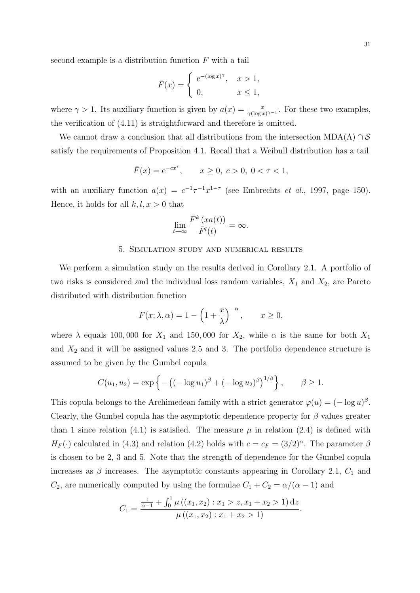second example is a distribution function *F* with a tail

$$
\bar{F}(x) = \begin{cases} e^{-(\log x)^{\gamma}}, & x > 1, \\ 0, & x \le 1, \end{cases}
$$

where  $\gamma > 1$ . Its auxiliary function is given by  $a(x) = \frac{x}{\gamma (\log x)^{\gamma - 1}}$ . For these two examples, the verification of (4.11) is straightforward and therefore is omitted.

We cannot draw a conclusion that all distributions from the intersection  $MDA(\Lambda) \cap S$ satisfy the requirements of Proposition 4.1. Recall that a Weibull distribution has a tail

$$
\bar{F}(x) = e^{-cx^{\tau}}, \qquad x \ge 0, \ c > 0, \ 0 < \tau < 1,
$$

with an auxiliary function  $a(x) = c^{-1}\tau^{-1}x^{1-\tau}$  (see Embrechts *et al.*, 1997, page 150). Hence, it holds for all  $k, l, x > 0$  that

$$
\lim_{t \to \infty} \frac{\bar{F}^k(xa(t))}{\bar{F}^l(t)} = \infty.
$$

#### 5. Simulation study and numerical results

We perform a simulation study on the results derived in Corollary 2.1. A portfolio of two risks is considered and the individual loss random variables, *X*<sup>1</sup> and *X*2, are Pareto distributed with distribution function

$$
F(x; \lambda, \alpha) = 1 - \left(1 + \frac{x}{\lambda}\right)^{-\alpha}, \qquad x \ge 0,
$$

where  $\lambda$  equals 100,000 for  $X_1$  and 150,000 for  $X_2$ , while  $\alpha$  is the same for both  $X_1$ and  $X_2$  and it will be assigned values 2.5 and 3. The portfolio dependence structure is assumed to be given by the Gumbel copula

$$
C(u_1, u_2) = \exp \left\{ - \left( (-\log u_1)^{\beta} + (-\log u_2)^{\beta} \right)^{1/\beta} \right\}, \qquad \beta \ge 1.
$$

This copula belongs to the Archimedean family with a strict generator  $\varphi(u) = (-\log u)^{\beta}$ . Clearly, the Gumbel copula has the asymptotic dependence property for *β* values greater than 1 since relation (4.1) is satisfied. The measure  $\mu$  in relation (2.4) is defined with  $H_F(\cdot)$  calculated in (4.3) and relation (4.2) holds with  $c = c_F = (3/2)^{\alpha}$ . The parameter  $\beta$ is chosen to be 2, 3 and 5. Note that the strength of dependence for the Gumbel copula increases as  $\beta$  increases. The asymptotic constants appearing in Corollary 2.1,  $C_1$  and *C*<sub>2</sub>, are numerically computed by using the formulae  $C_1 + C_2 = \alpha/(\alpha - 1)$  and

$$
C_1 = \frac{\frac{1}{\alpha - 1} + \int_0^1 \mu((x_1, x_2) : x_1 > z, x_1 + x_2 > 1) \, dz}{\mu((x_1, x_2) : x_1 + x_2 > 1)}.
$$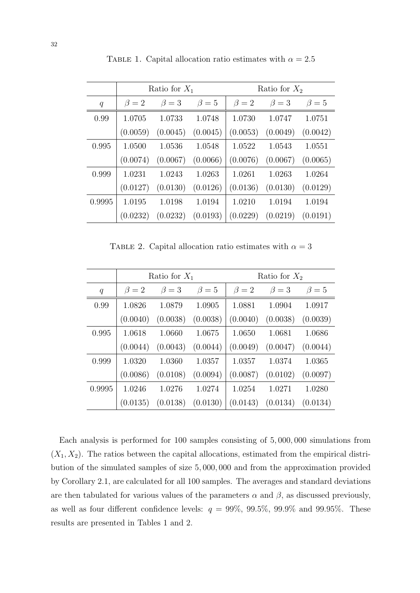|        | Ratio for $X_1$ |           |           | Ratio for $X_2$ |           |           |
|--------|-----------------|-----------|-----------|-----------------|-----------|-----------|
| q      | $\beta=2$       | $\beta=3$ | $\beta=5$ | $\beta = 2$     | $\beta=3$ | $\beta=5$ |
| 0.99   | 1.0705          | 1.0733    | 1.0748    | 1.0730          | 1.0747    | 1.0751    |
|        | (0.0059)        | (0.0045)  | (0.0045)  | (0.0053)        | (0.0049)  | (0.0042)  |
| 0.995  | 1.0500          | 1.0536    | 1.0548    | 1.0522          | 1.0543    | 1.0551    |
|        | (0.0074)        | (0.0067)  | (0.0066)  | (0.0076)        | (0.0067)  | (0.0065)  |
| 0.999  | 1.0231          | 1.0243    | 1.0263    | 1.0261          | 1.0263    | 1.0264    |
|        | (0.0127)        | (0.0130)  | (0.0126)  | (0.0136)        | (0.0130)  | (0.0129)  |
| 0.9995 | 1.0195          | 1.0198    | 1.0194    | 1.0210          | 1.0194    | 1.0194    |
|        | (0.0232)        | (0.0232)  | (0.0193)  | (0.0229)        | (0.0219)  | (0.0191)  |

TABLE 1. Capital allocation ratio estimates with  $\alpha = 2.5$ 

TABLE 2. Capital allocation ratio estimates with  $\alpha = 3$ 

|        | Ratio for $X_1$ |           |             | Ratio for $X_2$ |           |           |
|--------|-----------------|-----------|-------------|-----------------|-----------|-----------|
| q      | $\beta = 2$     | $\beta=3$ | $\beta = 5$ | $\beta = 2$     | $\beta=3$ | $\beta=5$ |
| 0.99   | 1.0826          | 1.0879    | 1.0905      | 1.0881          | 1.0904    | 1.0917    |
|        | (0.0040)        | (0.0038)  | (0.0038)    | (0.0040)        | (0.0038)  | (0.0039)  |
| 0.995  | 1.0618          | 1.0660    | 1.0675      | 1.0650          | 1.0681    | 1.0686    |
|        | (0.0044)        | (0.0043)  | (0.0044)    | (0.0049)        | (0.0047)  | (0.0044)  |
| 0.999  | 1.0320          | 1.0360    | 1.0357      | 1.0357          | 1.0374    | 1.0365    |
|        | (0.0086)        | (0.0108)  | (0.0094)    | (0.0087)        | (0.0102)  | (0.0097)  |
| 0.9995 | 1.0246          | 1.0276    | 1.0274      | 1.0254          | 1.0271    | 1.0280    |
|        | (0.0135)        | (0.0138)  | (0.0130)    | (0.0143)        | (0.0134)  | (0.0134)  |

Each analysis is performed for 100 samples consisting of 5*,* 000*,* 000 simulations from  $(X_1, X_2)$ . The ratios between the capital allocations, estimated from the empirical distribution of the simulated samples of size 5*,* 000*,* 000 and from the approximation provided by Corollary 2.1, are calculated for all 100 samples. The averages and standard deviations are then tabulated for various values of the parameters  $\alpha$  and  $\beta$ , as discussed previously, as well as four different confidence levels:  $q = 99\%$ ,  $99.5\%$ ,  $99.9\%$  and  $99.95\%$ . These results are presented in Tables 1 and 2.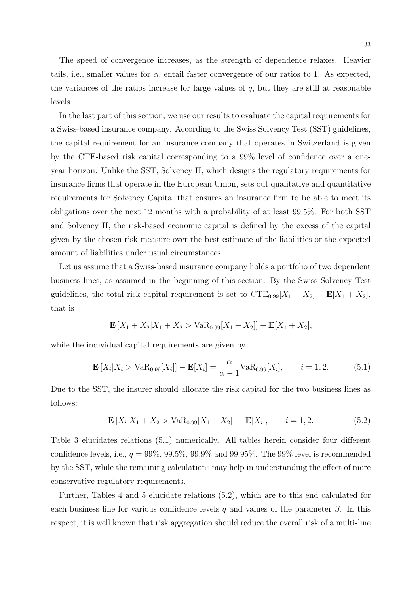The speed of convergence increases, as the strength of dependence relaxes. Heavier tails, i.e., smaller values for  $\alpha$ , entail faster convergence of our ratios to 1. As expected, the variances of the ratios increase for large values of *q*, but they are still at reasonable levels.

In the last part of this section, we use our results to evaluate the capital requirements for a Swiss-based insurance company. According to the Swiss Solvency Test (SST) guidelines, the capital requirement for an insurance company that operates in Switzerland is given by the CTE-based risk capital corresponding to a 99% level of confidence over a oneyear horizon. Unlike the SST, Solvency II, which designs the regulatory requirements for insurance firms that operate in the European Union, sets out qualitative and quantitative requirements for Solvency Capital that ensures an insurance firm to be able to meet its obligations over the next 12 months with a probability of at least 99*.*5%. For both SST and Solvency II, the risk-based economic capital is defined by the excess of the capital given by the chosen risk measure over the best estimate of the liabilities or the expected amount of liabilities under usual circumstances.

Let us assume that a Swiss-based insurance company holds a portfolio of two dependent business lines, as assumed in the beginning of this section. By the Swiss Solvency Test guidelines, the total risk capital requirement is set to  $CTE_{0.99}[X_1 + X_2] - \mathbf{E}[X_1 + X_2]$ , that is

$$
\mathbf{E}[X_1 + X_2 | X_1 + X_2 > \text{VaR}_{0.99}[X_1 + X_2]] - \mathbf{E}[X_1 + X_2],
$$

while the individual capital requirements are given by

$$
\mathbf{E}\left[X_i|X_i > \text{VaR}_{0.99}[X_i]\right] - \mathbf{E}[X_i] = \frac{\alpha}{\alpha - 1} \text{VaR}_{0.99}[X_i], \qquad i = 1, 2. \tag{5.1}
$$

Due to the SST, the insurer should allocate the risk capital for the two business lines as follows:

$$
\mathbf{E}\left[X_i|X_1+X_2>\text{VaR}_{0.99}[X_1+X_2]\right]-\mathbf{E}[X_i], \qquad i=1,2. \tag{5.2}
$$

Table 3 elucidates relations (5.1) numerically. All tables herein consider four different confidence levels, i.e.,  $q = 99\%, 99.5\%, 99.9\%$  and  $99.95\%$ . The 99% level is recommended by the SST, while the remaining calculations may help in understanding the effect of more conservative regulatory requirements.

Further, Tables 4 and 5 elucidate relations (5.2), which are to this end calculated for each business line for various confidence levels *q* and values of the parameter *β*. In this respect, it is well known that risk aggregation should reduce the overall risk of a multi-line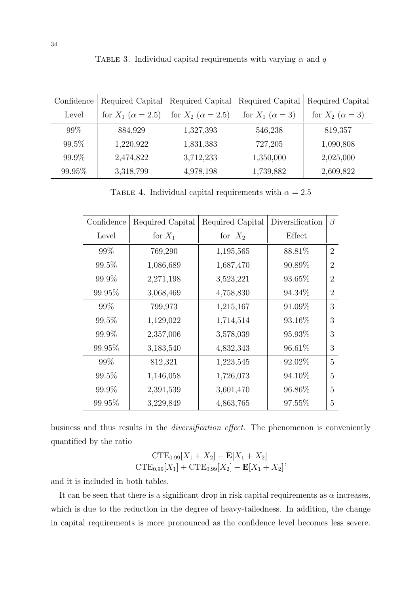| Confidence | Required Capital             | Required Capital         | Required Capital         | Required Capital         |
|------------|------------------------------|--------------------------|--------------------------|--------------------------|
| Level      | for $X_1$ ( $\alpha = 2.5$ ) | for $X_2 (\alpha = 2.5)$ | for $X_1$ $(\alpha = 3)$ | for $X_2$ $(\alpha = 3)$ |
| $99\%$     | 884,929                      | 1,327,393                | 546,238                  | 819,357                  |
| 99.5%      | 1,220,922                    | 1,831,383                | 727,205                  | 1,090,808                |
| 99.9%      | 2,474,822                    | 3,712,233                | 1,350,000                | 2,025,000                |
| 99.95%     | 3,318,799                    | 4,978,198                | 1,739,882                | 2,609,822                |

TABLE 3. Individual capital requirements with varying  $\alpha$  and  $q$ 

TABLE 4. Individual capital requirements with  $\alpha = 2.5$ 

| Confidence | Required Capital | Required Capital | Diversification | $\beta$        |
|------------|------------------|------------------|-----------------|----------------|
| Level      | for $X_1$        | for $X_2$        | Effect          |                |
| 99%        | 769,290          | 1,195,565        | 88.81\%         | $\overline{2}$ |
| 99.5%      | 1,086,689        | 1,687,470        | 90.89%          | $\overline{2}$ |
| 99.9%      | 2,271,198        | 3,523,221        | 93.65%          | $\overline{2}$ |
| 99.95%     | 3,068,469        | 4,758,830        | 94.34\%         | $\overline{2}$ |
| 99%        | 799,973          | 1,215,167        | 91.09%          | 3              |
| 99.5%      | 1,129,022        | 1,714,514        | 93.16\%         | 3              |
| 99.9%      | 2,357,006        | 3,578,039        | 95.93%          | 3              |
| 99.95%     | 3,183,540        | 4,832,343        | 96.61\%         | 3              |
| 99%        | 812,321          | 1,223,545        | 92.02%          | 5              |
| 99.5%      | 1,146,058        | 1,726,073        | 94.10%          | 5              |
| 99.9%      | 2,391,539        | 3,601,470        | 96.86\%         | 5              |
| 99.95%     | 3,229,849        | 4,863,765        | 97.55%          | 5              |

business and thus results in the *diversification effect*. The phenomenon is conveniently quantified by the ratio

$$
\frac{\text{CTE}_{0.99}[X_1 + X_2] - \text{E}[X_1 + X_2]}{\text{CTE}_{0.99}[X_1] + \text{CTE}_{0.99}[X_2] - \text{E}[X_1 + X_2]},
$$

and it is included in both tables.

It can be seen that there is a significant drop in risk capital requirements as  $\alpha$  increases, which is due to the reduction in the degree of heavy-tailedness. In addition, the change in capital requirements is more pronounced as the confidence level becomes less severe.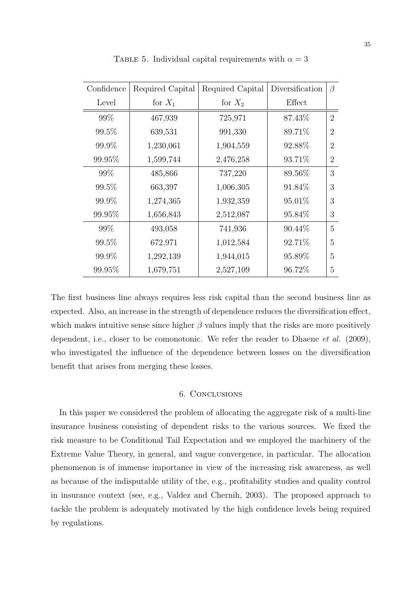| Confidence | Required Capital | Required Capital | Diversification | $\beta$        |
|------------|------------------|------------------|-----------------|----------------|
| Level      | for $X_1$        | for $X_2$        | Effect          |                |
| 99%        | 467,939          | 725,971          | 87.43%          | $\overline{2}$ |
| 99.5%      | 639,531          | 991,330          | 89.71\%         | $\overline{2}$ |
| 99.9%      | 1,230,061        | 1,904,559        | 92.88%          | $\overline{2}$ |
| 99.95%     | 1,599,744        | 2,476,258        | 93.71%          | $\overline{2}$ |
| 99\%       | 485,866          | 737,220          | 89.56%          | 3              |
| 99.5%      | 663,397          | 1,006,305        | 91.84\%         | 3              |
| 99.9%      | 1,274,365        | 1,932,359        | 95.01\%         | 3              |
| 99.95%     | 1,656,843        | 2,512,087        | 95.84\%         | 3              |
| 99%        | 493,058          | 741,936          | 90.44\%         | 5              |
| 99.5%      | 672,971          | 1,012,584        | 92.71%          | 5              |
| 99.9%      | 1,292,139        | 1,944,015        | 95.89%          | 5              |
| 99.95%     | 1,679,751        | 2,527,109        | 96.72%          | 5              |

TABLE 5. Individual capital requirements with  $\alpha = 3$ 

The first business line always requires less risk capital than the second business line as expected. Also, an increase in the strength of dependence reduces the diversification effect, which makes intuitive sense since higher  $\beta$  values imply that the risks are more positively dependent, i.e., closer to be comonotonic. We refer the reader to Dhaene *et al.* (2009), who investigated the influence of the dependence between losses on the diversification benefit that arises from merging these losses.

#### 6. Conclusions

In this paper we considered the problem of allocating the aggregate risk of a multi-line insurance business consisting of dependent risks to the various sources. We fixed the risk measure to be Conditional Tail Expectation and we employed the machinery of the Extreme Value Theory, in general, and vague convergence, in particular. The allocation phenomenon is of immense importance in view of the increasing risk awareness, as well as because of the indisputable utility of the, e.g., profitability studies and quality control in insurance context (see, e.g., Valdez and Chernih, 2003). The proposed approach to tackle the problem is adequately motivated by the high confidence levels being required by regulations.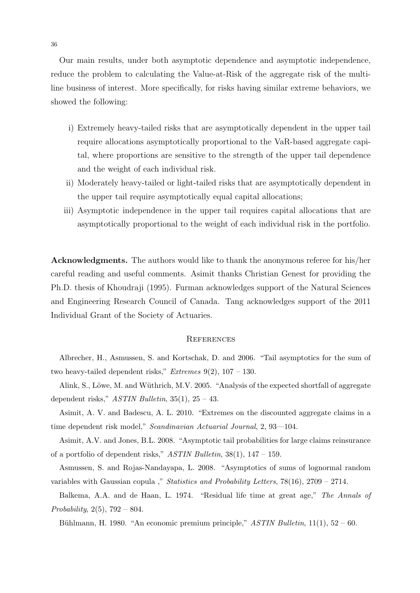Our main results, under both asymptotic dependence and asymptotic independence, reduce the problem to calculating the Value-at-Risk of the aggregate risk of the multiline business of interest. More specifically, for risks having similar extreme behaviors, we showed the following:

- i) Extremely heavy-tailed risks that are asymptotically dependent in the upper tail require allocations asymptotically proportional to the VaR-based aggregate capital, where proportions are sensitive to the strength of the upper tail dependence and the weight of each individual risk.
- ii) Moderately heavy-tailed or light-tailed risks that are asymptotically dependent in the upper tail require asymptotically equal capital allocations;
- iii) Asymptotic independence in the upper tail requires capital allocations that are asymptotically proportional to the weight of each individual risk in the portfolio.

**Acknowledgments.** The authors would like to thank the anonymous referee for his/her careful reading and useful comments. Asimit thanks Christian Genest for providing the Ph.D. thesis of Khoudraji (1995). Furman acknowledges support of the Natural Sciences and Engineering Research Council of Canada. Tang acknowledges support of the 2011 Individual Grant of the Society of Actuaries.

#### **REFERENCES**

Albrecher, H., Asmussen, S. and Kortschak, D. and 2006. "Tail asymptotics for the sum of two heavy-tailed dependent risks," *Extremes* 9(2), 107 – 130.

Alink, S., Löwe, M. and Wüthrich, M.V. 2005. "Analysis of the expected shortfall of aggregate dependent risks," *ASTIN Bulletin*, 35(1), 25 – 43.

Asimit, A. V. and Badescu, A. L. 2010. "Extremes on the discounted aggregate claims in a time dependent risk model," *Scandinavian Actuarial Journal*, 2, 93—104.

Asimit, A.V. and Jones, B.L. 2008. "Asymptotic tail probabilities for large claims reinsurance of a portfolio of dependent risks," *ASTIN Bulletin*, 38(1), 147 – 159.

Asmussen, S. and Rojas-Nandayapa, L. 2008. "Asymptotics of sums of lognormal random variables with Gaussian copula ," *Statistics and Probability Letters*, 78(16), 2709 – 2714.

Balkema, A.A. and de Haan, L. 1974. "Residual life time at great age," *The Annals of Probability*, 2(5), 792 – 804.

Bühlmann, H. 1980. "An economic premium principle," *ASTIN Bulletin*, 11(1), 52 – 60.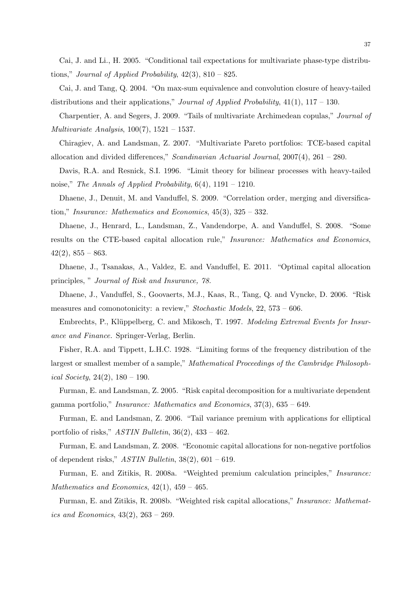Cai, J. and Li., H. 2005. "Conditional tail expectations for multivariate phase-type distributions," *Journal of Applied Probability*, 42(3), 810 – 825.

Cai, J. and Tang, Q. 2004. "On max-sum equivalence and convolution closure of heavy-tailed distributions and their applications," *Journal of Applied Probability*, 41(1), 117 – 130.

Charpentier, A. and Segers, J. 2009. "Tails of multivariate Archimedean copulas," *Journal of Multivariate Analysis*, 100(7), 1521 – 1537.

Chiragiev, A. and Landsman, Z. 2007. "Multivariate Pareto portfolios: TCE-based capital allocation and divided differences," *Scandinavian Actuarial Journal*, 2007(4), 261 – 280.

Davis, R.A. and Resnick, S.I. 1996. "Limit theory for bilinear processes with heavy-tailed noise," *The Annals of Applied Probability*, 6(4), 1191 – 1210.

Dhaene, J., Denuit, M. and Vanduffel, S. 2009. "Correlation order, merging and diversification," *Insurance: Mathematics and Economics*, 45(3), 325 – 332.

Dhaene, J., Henrard, L., Landsman, Z., Vandendorpe, A. and Vanduffel, S. 2008. "Some results on the CTE-based capital allocation rule," *Insurance: Mathematics and Economics*,  $42(2), 855 - 863.$ 

Dhaene, J., Tsanakas, A., Valdez, E. and Vanduffel, E. 2011. "Optimal capital allocation principles, " *Journal of Risk and Insurance, 78.*

Dhaene, J., Vanduffel, S., Goovaerts, M.J., Kaas, R., Tang, Q. and Vyncke, D. 2006. "Risk measures and comonotonicity: a review," *Stochastic Models*, 22, 573 – 606.

Embrechts, P., Klüppelberg, C. and Mikosch, T. 1997. *Modeling Extremal Events for Insurance and Finance.* Springer-Verlag, Berlin.

Fisher, R.A. and Tippett, L.H.C. 1928. "Limiting forms of the frequency distribution of the largest or smallest member of a sample," *Mathematical Proceedings of the Cambridge Philosophical Society*, 24(2), 180 – 190.

Furman, E. and Landsman, Z. 2005. "Risk capital decomposition for a multivariate dependent gamma portfolio," *Insurance: Mathematics and Economics*, 37(3), 635 – 649.

Furman, E. and Landsman, Z. 2006. "Tail variance premium with applications for elliptical portfolio of risks," *ASTIN Bulletin*, 36(2), 433 – 462.

Furman, E. and Landsman, Z. 2008. "Economic capital allocations for non-negative portfolios of dependent risks," *ASTIN Bulletin*, 38(2), 601 – 619.

Furman, E. and Zitikis, R. 2008a. "Weighted premium calculation principles," *Insurance: Mathematics and Economics*, 42(1), 459 – 465.

Furman, E. and Zitikis, R. 2008b. "Weighted risk capital allocations," *Insurance: Mathematics and Economics*, 43(2), 263 – 269.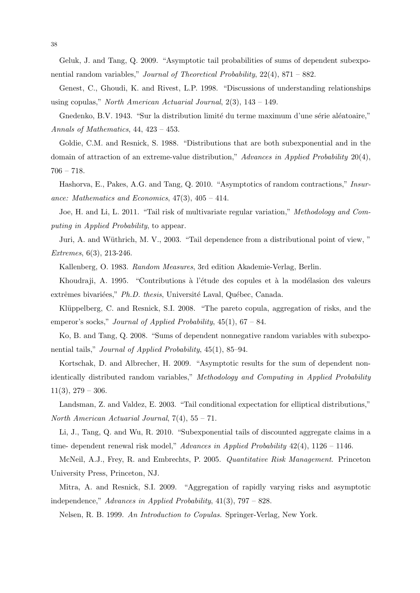Geluk, J. and Tang, Q. 2009. "Asymptotic tail probabilities of sums of dependent subexponential random variables," *Journal of Theoretical Probability*, 22(4), 871 – 882.

Genest, C., Ghoudi, K. and Rivest, L.P. 1998. "Discussions of understanding relationships using copulas," *North American Actuarial Journal*, 2(3), 143 – 149.

Gnedenko, B.V. 1943. "Sur la distribution limité du terme maximum d'une série aléatoaire," *Annals of Mathematics*, 44, 423 – 453.

Goldie, C.M. and Resnick, S. 1988. "Distributions that are both subexponential and in the domain of attraction of an extreme-value distribution," *Advances in Applied Probability* 20(4), 706 – 718.

Hashorva, E., Pakes, A.G. and Tang, Q. 2010. "Asymptotics of random contractions," *Insurance: Mathematics and Economics*, 47(3), 405 – 414.

Joe, H. and Li, L. 2011. "Tail risk of multivariate regular variation," *Methodology and Computing in Applied Probability*, to appear.

Juri, A. and Wüthrich, M. V., 2003. "Tail dependence from a distributional point of view," *Extremes*, 6(3), 213-246.

Kallenberg, O. 1983. *Random Measures*, 3rd edition Akademie-Verlag, Berlin.

Khoudraji, A. 1995. "Contributions à l'étude des copules et à la modélasion des valeurs extrêmes bivariées," *Ph.D. thesis*, Université Laval, Québec, Canada.

Klüppelberg, C. and Resnick, S.I. 2008. "The pareto copula, aggregation of risks, and the emperor's socks," *Journal of Applied Probability*, 45(1), 67 – 84.

Ko, B. and Tang, Q. 2008. "Sums of dependent nonnegative random variables with subexponential tails," *Journal of Applied Probability*, 45(1), 85–94.

Kortschak, D. and Albrecher, H. 2009. "Asymptotic results for the sum of dependent nonidentically distributed random variables," *Methodology and Computing in Applied Probability*  $11(3)$ ,  $279-306$ .

Landsman, Z. and Valdez, E. 2003. "Tail conditional expectation for elliptical distributions," *North American Actuarial Journal*, 7(4), 55 – 71.

Li, J., Tang, Q. and Wu, R. 2010. "Subexponential tails of discounted aggregate claims in a time- dependent renewal risk model," *Advances in Applied Probability* 42(4), 1126 – 1146.

McNeil, A.J., Frey, R. and Embrechts, P. 2005. *Quantitative Risk Management*. Princeton University Press, Princeton, NJ.

Mitra, A. and Resnick, S.I. 2009. "Aggregation of rapidly varying risks and asymptotic independence," *Advances in Applied Probability*, 41(3), 797 – 828.

Nelsen, R. B. 1999. *An Introduction to Copulas.* Springer-Verlag, New York.